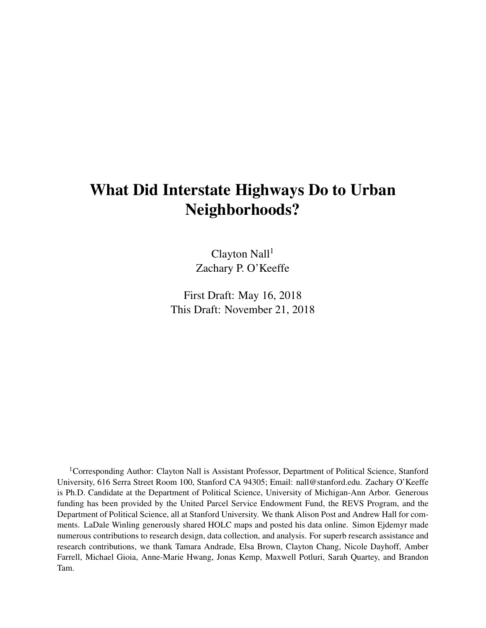# What Did Interstate Highways Do to Urban Neighborhoods?

 $Clayton$  Nall<sup>1</sup> Zachary P. O'Keeffe

First Draft: May 16, 2018 This Draft: November 21, 2018

<sup>1</sup>Corresponding Author: Clayton Nall is Assistant Professor, Department of Political Science, Stanford University, 616 Serra Street Room 100, Stanford CA 94305; Email: nall@stanford.edu. Zachary O'Keeffe is Ph.D. Candidate at the Department of Political Science, University of Michigan-Ann Arbor. Generous funding has been provided by the United Parcel Service Endowment Fund, the REVS Program, and the Department of Political Science, all at Stanford University. We thank Alison Post and Andrew Hall for comments. LaDale Winling generously shared HOLC maps and posted his data online. Simon Ejdemyr made numerous contributions to research design, data collection, and analysis. For superb research assistance and research contributions, we thank Tamara Andrade, Elsa Brown, Clayton Chang, Nicole Dayhoff, Amber Farrell, Michael Gioia, Anne-Marie Hwang, Jonas Kemp, Maxwell Potluri, Sarah Quartey, and Brandon Tam.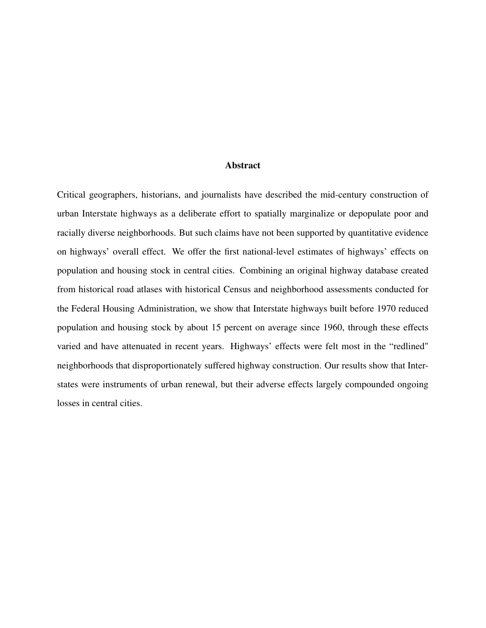#### Abstract

Critical geographers, historians, and journalists have described the mid-century construction of urban Interstate highways as a deliberate effort to spatially marginalize or depopulate poor and racially diverse neighborhoods. But such claims have not been supported by quantitative evidence on highways' overall effect. We offer the first national-level estimates of highways' effects on population and housing stock in central cities. Combining an original highway database created from historical road atlases with historical Census and neighborhood assessments conducted for the Federal Housing Administration, we show that Interstate highways built before 1970 reduced population and housing stock by about 15 percent on average since 1960, through these effects varied and have attenuated in recent years. Highways' effects were felt most in the "redlined" neighborhoods that disproportionately suffered highway construction. Our results show that Interstates were instruments of urban renewal, but their adverse effects largely compounded ongoing losses in central cities.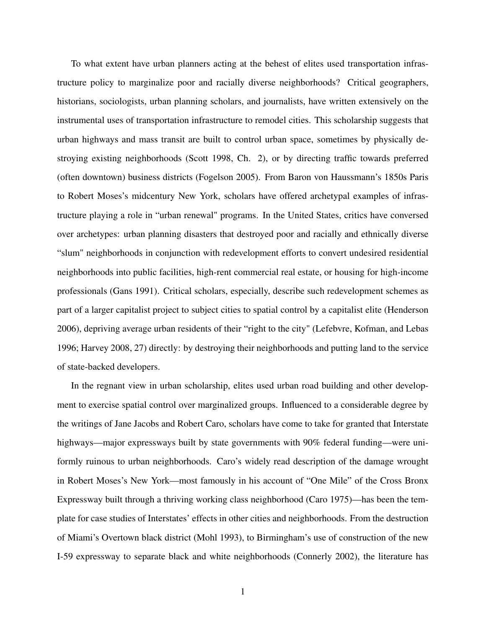To what extent have urban planners acting at the behest of elites used transportation infrastructure policy to marginalize poor and racially diverse neighborhoods? Critical geographers, historians, sociologists, urban planning scholars, and journalists, have written extensively on the instrumental uses of transportation infrastructure to remodel cities. This scholarship suggests that urban highways and mass transit are built to control urban space, sometimes by physically destroying existing neighborhoods (Scott [1998,](#page-37-0) Ch. 2), or by directing traffic towards preferred (often downtown) business districts (Fogelson [2005\)](#page-34-0). From Baron von Haussmann's 1850s Paris to Robert Moses's midcentury New York, scholars have offered archetypal examples of infrastructure playing a role in "urban renewal" programs. In the United States, critics have conversed over archetypes: urban planning disasters that destroyed poor and racially and ethnically diverse "slum" neighborhoods in conjunction with redevelopment efforts to convert undesired residential neighborhoods into public facilities, high-rent commercial real estate, or housing for high-income professionals (Gans [1991\)](#page-34-1). Critical scholars, especially, describe such redevelopment schemes as part of a larger capitalist project to subject cities to spatial control by a capitalist elite (Henderson [2006\)](#page-34-2), depriving average urban residents of their "right to the city" (Lefebvre, Kofman, and Lebas [1996;](#page-35-0) Harvey [2008,](#page-34-3) 27) directly: by destroying their neighborhoods and putting land to the service of state-backed developers.

In the regnant view in urban scholarship, elites used urban road building and other development to exercise spatial control over marginalized groups. Influenced to a considerable degree by the writings of Jane Jacobs and Robert Caro, scholars have come to take for granted that Interstate highways—major expressways built by state governments with 90% federal funding—were uniformly ruinous to urban neighborhoods. Caro's widely read description of the damage wrought in Robert Moses's New York—most famously in his account of "One Mile" of the Cross Bronx Expressway built through a thriving working class neighborhood (Caro [1975\)](#page-32-0)—has been the template for case studies of Interstates' effects in other cities and neighborhoods. From the destruction of Miami's Overtown black district (Mohl [1993\)](#page-36-0), to Birmingham's use of construction of the new I-59 expressway to separate black and white neighborhoods (Connerly [2002\)](#page-33-0), the literature has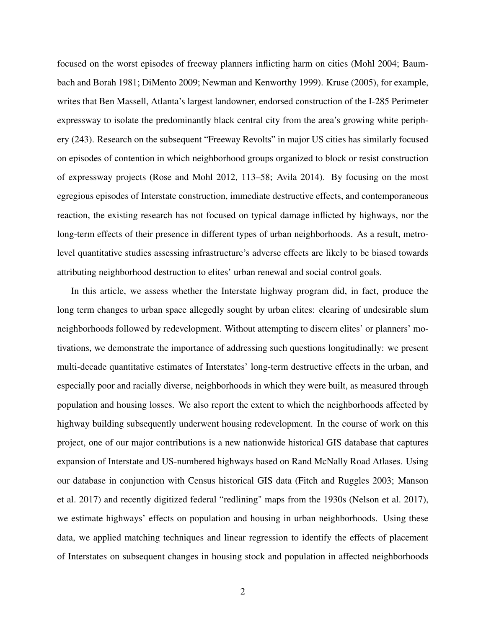focused on the worst episodes of freeway planners inflicting harm on cities (Mohl [2004;](#page-36-1) Baumbach and Borah [1981;](#page-32-1) DiMento [2009;](#page-33-1) Newman and Kenworthy [1999\)](#page-36-2). Kruse [\(2005\)](#page-35-1), for example, writes that Ben Massell, Atlanta's largest landowner, endorsed construction of the I-285 Perimeter expressway to isolate the predominantly black central city from the area's growing white periphery (243). Research on the subsequent "Freeway Revolts" in major US cities has similarly focused on episodes of contention in which neighborhood groups organized to block or resist construction of expressway projects (Rose and Mohl [2012,](#page-36-3) 113–58; Avila [2014\)](#page-32-2). By focusing on the most egregious episodes of Interstate construction, immediate destructive effects, and contemporaneous reaction, the existing research has not focused on typical damage inflicted by highways, nor the long-term effects of their presence in different types of urban neighborhoods. As a result, metrolevel quantitative studies assessing infrastructure's adverse effects are likely to be biased towards attributing neighborhood destruction to elites' urban renewal and social control goals.

In this article, we assess whether the Interstate highway program did, in fact, produce the long term changes to urban space allegedly sought by urban elites: clearing of undesirable slum neighborhoods followed by redevelopment. Without attempting to discern elites' or planners' motivations, we demonstrate the importance of addressing such questions longitudinally: we present multi-decade quantitative estimates of Interstates' long-term destructive effects in the urban, and especially poor and racially diverse, neighborhoods in which they were built, as measured through population and housing losses. We also report the extent to which the neighborhoods affected by highway building subsequently underwent housing redevelopment. In the course of work on this project, one of our major contributions is a new nationwide historical GIS database that captures expansion of Interstate and US-numbered highways based on Rand McNally Road Atlases. Using our database in conjunction with Census historical GIS data (Fitch and Ruggles [2003;](#page-33-2) Manson et al. [2017\)](#page-35-2) and recently digitized federal "redlining" maps from the 1930s (Nelson et al. [2017\)](#page-36-4), we estimate highways' effects on population and housing in urban neighborhoods. Using these data, we applied matching techniques and linear regression to identify the effects of placement of Interstates on subsequent changes in housing stock and population in affected neighborhoods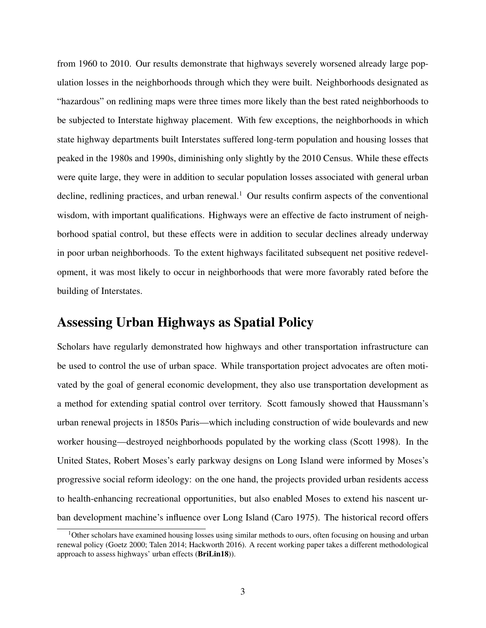from 1960 to 2010. Our results demonstrate that highways severely worsened already large population losses in the neighborhoods through which they were built. Neighborhoods designated as "hazardous" on redlining maps were three times more likely than the best rated neighborhoods to be subjected to Interstate highway placement. With few exceptions, the neighborhoods in which state highway departments built Interstates suffered long-term population and housing losses that peaked in the 1980s and 1990s, diminishing only slightly by the 2010 Census. While these effects were quite large, they were in addition to secular population losses associated with general urban decline, redlining practices, and urban renewal.<sup>[1](#page-4-0)</sup> Our results confirm aspects of the conventional wisdom, with important qualifications. Highways were an effective de facto instrument of neighborhood spatial control, but these effects were in addition to secular declines already underway in poor urban neighborhoods. To the extent highways facilitated subsequent net positive redevelopment, it was most likely to occur in neighborhoods that were more favorably rated before the building of Interstates.

## Assessing Urban Highways as Spatial Policy

Scholars have regularly demonstrated how highways and other transportation infrastructure can be used to control the use of urban space. While transportation project advocates are often motivated by the goal of general economic development, they also use transportation development as a method for extending spatial control over territory. Scott famously showed that Haussmann's urban renewal projects in 1850s Paris—which including construction of wide boulevards and new worker housing—destroyed neighborhoods populated by the working class (Scott [1998\)](#page-37-0). In the United States, Robert Moses's early parkway designs on Long Island were informed by Moses's progressive social reform ideology: on the one hand, the projects provided urban residents access to health-enhancing recreational opportunities, but also enabled Moses to extend his nascent urban development machine's influence over Long Island (Caro [1975\)](#page-32-0). The historical record offers

<span id="page-4-0"></span><sup>&</sup>lt;sup>1</sup>Other scholars have examined housing losses using similar methods to ours, often focusing on housing and urban renewal policy (Goetz [2000;](#page-34-4) Talen [2014;](#page-37-1) Hackworth [2016\)](#page-34-5). A recent working paper takes a different methodological approach to assess highways' urban effects (BriLin18)).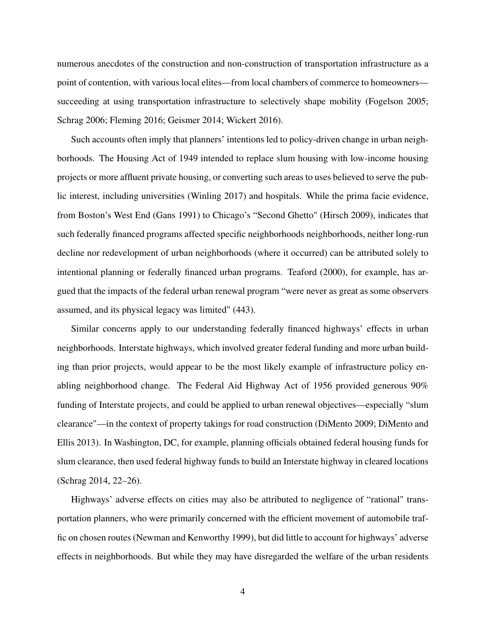numerous anecdotes of the construction and non-construction of transportation infrastructure as a point of contention, with various local elites—from local chambers of commerce to homeowners succeeding at using transportation infrastructure to selectively shape mobility (Fogelson [2005;](#page-34-0) Schrag [2006;](#page-37-2) Fleming [2016;](#page-33-3) Geismer [2014;](#page-34-6) Wickert [2016\)](#page-38-0).

Such accounts often imply that planners' intentions led to policy-driven change in urban neighborhoods. The Housing Act of 1949 intended to replace slum housing with low-income housing projects or more affluent private housing, or converting such areas to uses believed to serve the public interest, including universities (Winling [2017\)](#page-38-1) and hospitals. While the prima facie evidence, from Boston's West End (Gans [1991\)](#page-34-1) to Chicago's "Second Ghetto" (Hirsch [2009\)](#page-35-3), indicates that such federally financed programs affected specific neighborhoods neighborhoods, neither long-run decline nor redevelopment of urban neighborhoods (where it occurred) can be attributed solely to intentional planning or federally financed urban programs. Teaford [\(2000\)](#page-37-3), for example, has argued that the impacts of the federal urban renewal program "were never as great as some observers assumed, and its physical legacy was limited" (443).

Similar concerns apply to our understanding federally financed highways' effects in urban neighborhoods. Interstate highways, which involved greater federal funding and more urban building than prior projects, would appear to be the most likely example of infrastructure policy enabling neighborhood change. The Federal Aid Highway Act of 1956 provided generous 90% funding of Interstate projects, and could be applied to urban renewal objectives—especially "slum clearance"—in the context of property takings for road construction (DiMento [2009;](#page-33-1) DiMento and Ellis [2013\)](#page-33-4). In Washington, DC, for example, planning officials obtained federal housing funds for slum clearance, then used federal highway funds to build an Interstate highway in cleared locations (Schrag [2014,](#page-37-4) 22–26).

Highways' adverse effects on cities may also be attributed to negligence of "rational" transportation planners, who were primarily concerned with the efficient movement of automobile traffic on chosen routes (Newman and Kenworthy [1999\)](#page-36-2), but did little to account for highways' adverse effects in neighborhoods. But while they may have disregarded the welfare of the urban residents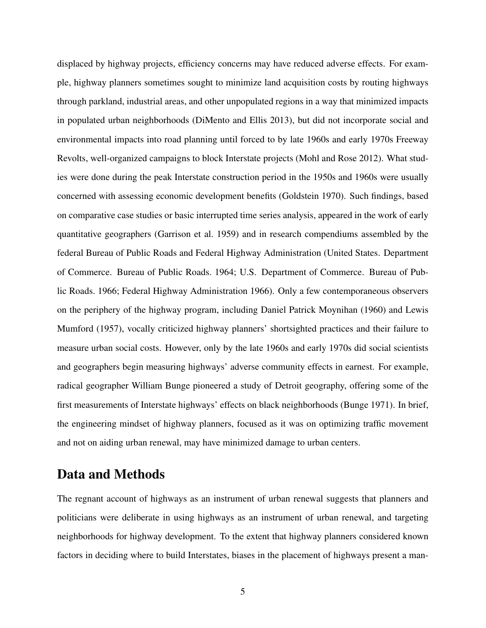displaced by highway projects, efficiency concerns may have reduced adverse effects. For example, highway planners sometimes sought to minimize land acquisition costs by routing highways through parkland, industrial areas, and other unpopulated regions in a way that minimized impacts in populated urban neighborhoods (DiMento and Ellis [2013\)](#page-33-4), but did not incorporate social and environmental impacts into road planning until forced to by late 1960s and early 1970s Freeway Revolts, well-organized campaigns to block Interstate projects (Mohl and Rose [2012\)](#page-36-5). What studies were done during the peak Interstate construction period in the 1950s and 1960s were usually concerned with assessing economic development benefits (Goldstein [1970\)](#page-34-7). Such findings, based on comparative case studies or basic interrupted time series analysis, appeared in the work of early quantitative geographers (Garrison et al. [1959\)](#page-34-8) and in research compendiums assembled by the federal Bureau of Public Roads and Federal Highway Administration (United States. Department of Commerce. Bureau of Public Roads. [1964;](#page-38-2) U.S. Department of Commerce. Bureau of Public Roads. [1966;](#page-38-3) Federal Highway Administration [1966\)](#page-33-5). Only a few contemporaneous observers on the periphery of the highway program, including Daniel Patrick Moynihan [\(1960\)](#page-36-6) and Lewis Mumford (1957), vocally criticized highway planners' shortsighted practices and their failure to measure urban social costs. However, only by the late 1960s and early 1970s did social scientists and geographers begin measuring highways' adverse community effects in earnest. For example, radical geographer William Bunge pioneered a study of Detroit geography, offering some of the first measurements of Interstate highways' effects on black neighborhoods (Bunge [1971\)](#page-32-3). In brief, the engineering mindset of highway planners, focused as it was on optimizing traffic movement and not on aiding urban renewal, may have minimized damage to urban centers.

## Data and Methods

The regnant account of highways as an instrument of urban renewal suggests that planners and politicians were deliberate in using highways as an instrument of urban renewal, and targeting neighborhoods for highway development. To the extent that highway planners considered known factors in deciding where to build Interstates, biases in the placement of highways present a man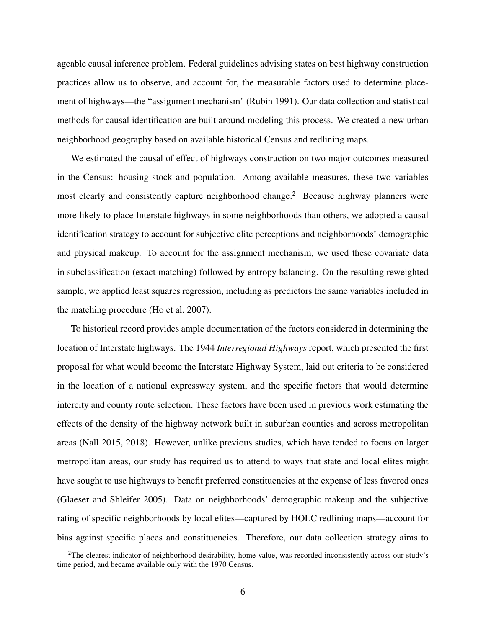ageable causal inference problem. Federal guidelines advising states on best highway construction practices allow us to observe, and account for, the measurable factors used to determine placement of highways—the "assignment mechanism" (Rubin [1991\)](#page-37-5). Our data collection and statistical methods for causal identification are built around modeling this process. We created a new urban neighborhood geography based on available historical Census and redlining maps.

We estimated the causal of effect of highways construction on two major outcomes measured in the Census: housing stock and population. Among available measures, these two variables most clearly and consistently capture neighborhood change.<sup>[2](#page-7-0)</sup> Because highway planners were more likely to place Interstate highways in some neighborhoods than others, we adopted a causal identification strategy to account for subjective elite perceptions and neighborhoods' demographic and physical makeup. To account for the assignment mechanism, we used these covariate data in subclassification (exact matching) followed by entropy balancing. On the resulting reweighted sample, we applied least squares regression, including as predictors the same variables included in the matching procedure (Ho et al. [2007\)](#page-35-4).

To historical record provides ample documentation of the factors considered in determining the location of Interstate highways. The 1944 *Interregional Highways* report, which presented the first proposal for what would become the Interstate Highway System, laid out criteria to be considered in the location of a national expressway system, and the specific factors that would determine intercity and county route selection. These factors have been used in previous work estimating the effects of the density of the highway network built in suburban counties and across metropolitan areas (Nall [2015,](#page-36-7) [2018\)](#page-36-8). However, unlike previous studies, which have tended to focus on larger metropolitan areas, our study has required us to attend to ways that state and local elites might have sought to use highways to benefit preferred constituencies at the expense of less favored ones (Glaeser and Shleifer [2005\)](#page-34-9). Data on neighborhoods' demographic makeup and the subjective rating of specific neighborhoods by local elites—captured by HOLC redlining maps—account for bias against specific places and constituencies. Therefore, our data collection strategy aims to

<span id="page-7-0"></span> $2$ The clearest indicator of neighborhood desirability, home value, was recorded inconsistently across our study's time period, and became available only with the 1970 Census.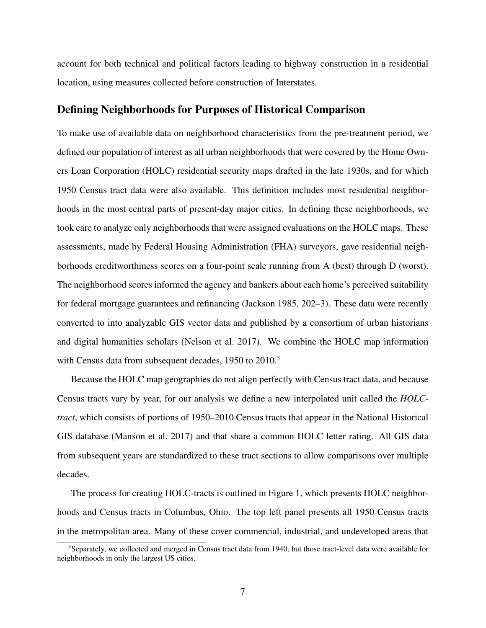account for both technical and political factors leading to highway construction in a residential location, using measures collected before construction of Interstates.

### Defining Neighborhoods for Purposes of Historical Comparison

To make use of available data on neighborhood characteristics from the pre-treatment period, we defined our population of interest as all urban neighborhoods that were covered by the Home Owners Loan Corporation (HOLC) residential security maps drafted in the late 1930s, and for which 1950 Census tract data were also available. This definition includes most residential neighborhoods in the most central parts of present-day major cities. In defining these neighborhoods, we took care to analyze only neighborhoods that were assigned evaluations on the HOLC maps. These assessments, made by Federal Housing Administration (FHA) surveyors, gave residential neighborhoods creditworthiness scores on a four-point scale running from A (best) through D (worst). The neighborhood scores informed the agency and bankers about each home's perceived suitability for federal mortgage guarantees and refinancing (Jackson [1985,](#page-35-5) 202–3). These data were recently converted to into analyzable GIS vector data and published by a consortium of urban historians and digital humanities scholars (Nelson et al. [2017\)](#page-36-4). We combine the HOLC map information with Census data from subsequent decades, 1950 to 2010.<sup>[3](#page-8-0)</sup>

Because the HOLC map geographies do not align perfectly with Census tract data, and because Census tracts vary by year, for our analysis we define a new interpolated unit called the *HOLCtract*, which consists of portions of 1950–2010 Census tracts that appear in the National Historical GIS database (Manson et al. [2017\)](#page-35-2) and that share a common HOLC letter rating. All GIS data from subsequent years are standardized to these tract sections to allow comparisons over multiple decades.

The process for creating HOLC-tracts is outlined in Figure [1,](#page-9-0) which presents HOLC neighborhoods and Census tracts in Columbus, Ohio. The top left panel presents all 1950 Census tracts in the metropolitan area. Many of these cover commercial, industrial, and undeveloped areas that

<span id="page-8-0"></span> $3$ Separately, we collected and merged in Census tract data from 1940, but those tract-level data were available for neighborhoods in only the largest US cities.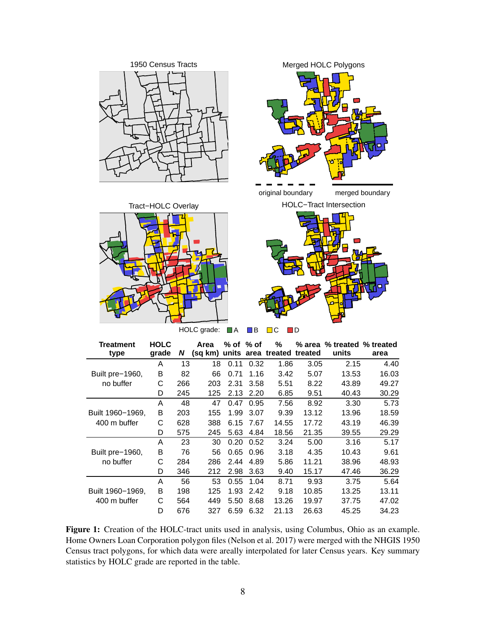<span id="page-9-0"></span>











HOLC grade: **■A** ■B ■C ■D

| Treatment        | <b>HOLC</b> |     | Area | % of % of |      | ℅                                  |       | % area % treated % treated |       |
|------------------|-------------|-----|------|-----------|------|------------------------------------|-------|----------------------------|-------|
| type             | grade       | N   |      |           |      | (sg km) units area treated treated |       | units                      | area  |
|                  | A           | 13  | 18   | 0.11      | 0.32 | 1.86                               | 3.05  | 2.15                       | 4.40  |
| Built pre-1960,  | B           | 82  | 66   | 0.71      | 1.16 | 3.42                               | 5.07  | 13.53                      | 16.03 |
| no buffer        | С           | 266 | 203  | 2.31      | 3.58 | 5.51                               | 8.22  | 43.89                      | 49.27 |
|                  | D           | 245 | 125  | 2.13      | 2.20 | 6.85                               | 9.51  | 40.43                      | 30.29 |
|                  | A           | 48  | 47   | 0.47      | 0.95 | 7.56                               | 8.92  | 3.30                       | 5.73  |
| Built 1960-1969, | B           | 203 | 155  | 1.99      | 3.07 | 9.39                               | 13.12 | 13.96                      | 18.59 |
| 400 m buffer     | С           | 628 | 388  | 6.15      | 7.67 | 14.55                              | 17.72 | 43.19                      | 46.39 |
|                  | D           | 575 | 245  | 5.63      | 4.84 | 18.56                              | 21.35 | 39.55                      | 29.29 |
|                  | A           | 23  | 30   | 0.20      | 0.52 | 3.24                               | 5.00  | 3.16                       | 5.17  |
| Built pre-1960,  | в           | 76  | 56   | 0.65      | 0.96 | 3.18                               | 4.35  | 10.43                      | 9.61  |
| no buffer        | С           | 284 | 286  | 2.44      | 4.89 | 5.86                               | 11.21 | 38.96                      | 48.93 |
|                  | D           | 346 | 212  | 2.98      | 3.63 | 9.40                               | 15.17 | 47.46                      | 36.29 |
|                  | A           | 56  | 53   | 0.55      | 1.04 | 8.71                               | 9.93  | 3.75                       | 5.64  |
| Built 1960-1969, | B           | 198 | 125  | 1.93      | 2.42 | 9.18                               | 10.85 | 13.25                      | 13.11 |
| 400 m buffer     | С           | 564 | 449  | 5.50      | 8.68 | 13.26                              | 19.97 | 37.75                      | 47.02 |
|                  | D           | 676 | 327  | 6.59      | 6.32 | 21.13                              | 26.63 | 45.25                      | 34.23 |

Figure 1: Creation of the HOLC-tract units used in analysis, using Columbus, Ohio as an example. Home Owners Loan Corporation polygon files (Nelson et al. [2017\)](#page-36-4) were merged with the NHGIS 1950 Census tract polygons, for which data were areally interpolated for later Census years. Key summary statistics by HOLC grade are reported in the table.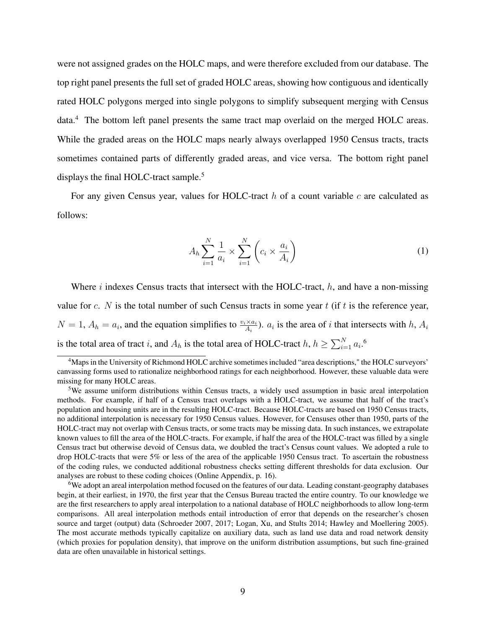were not assigned grades on the HOLC maps, and were therefore excluded from our database. The top right panel presents the full set of graded HOLC areas, showing how contiguous and identically rated HOLC polygons merged into single polygons to simplify subsequent merging with Census data.[4](#page-10-0) The bottom left panel presents the same tract map overlaid on the merged HOLC areas. While the graded areas on the HOLC maps nearly always overlapped 1950 Census tracts, tracts sometimes contained parts of differently graded areas, and vice versa. The bottom right panel displays the final HOLC-tract sample.<sup>[5](#page-10-1)</sup>

For any given Census year, values for HOLC-tract  $h$  of a count variable  $c$  are calculated as follows:

$$
A_h \sum_{i=1}^{N} \frac{1}{a_i} \times \sum_{i=1}^{N} \left( c_i \times \frac{a_i}{A_i} \right) \tag{1}
$$

Where i indexes Census tracts that intersect with the HOLC-tract,  $h$ , and have a non-missing value for c. N is the total number of such Census tracts in some year t (if t is the reference year,  $N = 1$ ,  $A_h = a_i$ , and the equation simplifies to  $\frac{v_i \times a_i}{A_i}$ ).  $a_i$  is the area of i that intersects with h,  $A_i$ is the total area of tract *i*, and  $A_h$  is the total area of HOLC-tract  $h, h \ge \sum_{i=1}^{N} a_i$ .<sup>[6](#page-10-2)</sup>

<span id="page-10-0"></span><sup>&</sup>lt;sup>4</sup>Maps in the University of Richmond HOLC archive sometimes included "area descriptions," the HOLC surveyors' canvassing forms used to rationalize neighborhood ratings for each neighborhood. However, these valuable data were missing for many HOLC areas.

<span id="page-10-1"></span><sup>&</sup>lt;sup>5</sup>We assume uniform distributions within Census tracts, a widely used assumption in basic areal interpolation methods. For example, if half of a Census tract overlaps with a HOLC-tract, we assume that half of the tract's population and housing units are in the resulting HOLC-tract. Because HOLC-tracts are based on 1950 Census tracts, no additional interpolation is necessary for 1950 Census values. However, for Censuses other than 1950, parts of the HOLC-tract may not overlap with Census tracts, or some tracts may be missing data. In such instances, we extrapolate known values to fill the area of the HOLC-tracts. For example, if half the area of the HOLC-tract was filled by a single Census tract but otherwise devoid of Census data, we doubled the tract's Census count values. We adopted a rule to drop HOLC-tracts that were 5% or less of the area of the applicable 1950 Census tract. To ascertain the robustness of the coding rules, we conducted additional robustness checks setting different thresholds for data exclusion. Our analyses are robust to these coding choices (Online Appendix, p. [16\)](#page-53-0).

<span id="page-10-2"></span><sup>6</sup>We adopt an areal interpolation method focused on the features of our data. Leading constant-geography databases begin, at their earliest, in 1970, the first year that the Census Bureau tracted the entire country. To our knowledge we are the first researchers to apply areal interpolation to a national database of HOLC neighborhoods to allow long-term comparisons. All areal interpolation methods entail introduction of error that depends on the researcher's chosen source and target (output) data (Schroeder [2007,](#page-37-6) [2017;](#page-37-7) Logan, Xu, and Stults [2014;](#page-35-6) Hawley and Moellering [2005\)](#page-34-10). The most accurate methods typically capitalize on auxiliary data, such as land use data and road network density (which proxies for population density), that improve on the uniform distribution assumptions, but such fine-grained data are often unavailable in historical settings.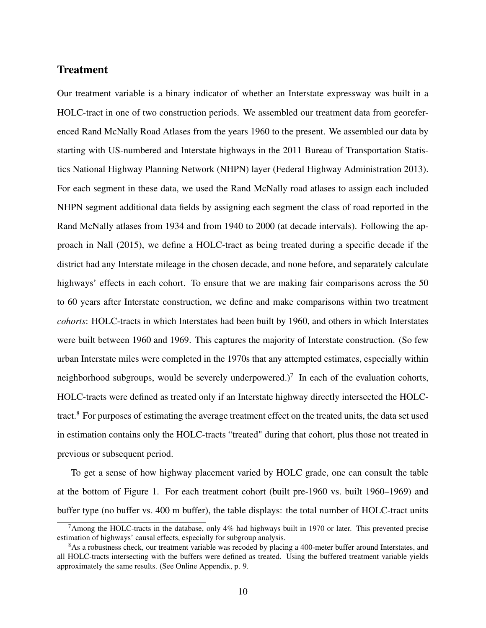### Treatment

Our treatment variable is a binary indicator of whether an Interstate expressway was built in a HOLC-tract in one of two construction periods. We assembled our treatment data from georeferenced Rand McNally Road Atlases from the years 1960 to the present. We assembled our data by starting with US-numbered and Interstate highways in the 2011 Bureau of Transportation Statistics National Highway Planning Network (NHPN) layer (Federal Highway Administration [2013\)](#page-33-6). For each segment in these data, we used the Rand McNally road atlases to assign each included NHPN segment additional data fields by assigning each segment the class of road reported in the Rand McNally atlases from 1934 and from 1940 to 2000 (at decade intervals). Following the approach in Nall [\(2015\)](#page-36-7), we define a HOLC-tract as being treated during a specific decade if the district had any Interstate mileage in the chosen decade, and none before, and separately calculate highways' effects in each cohort. To ensure that we are making fair comparisons across the 50 to 60 years after Interstate construction, we define and make comparisons within two treatment *cohorts*: HOLC-tracts in which Interstates had been built by 1960, and others in which Interstates were built between 1960 and 1969. This captures the majority of Interstate construction. (So few urban Interstate miles were completed in the 1970s that any attempted estimates, especially within neighborhood subgroups, would be severely underpowered.)<sup>[7](#page-11-0)</sup> In each of the evaluation cohorts, HOLC-tracts were defined as treated only if an Interstate highway directly intersected the HOLCtract.[8](#page-11-1) For purposes of estimating the average treatment effect on the treated units, the data set used in estimation contains only the HOLC-tracts "treated" during that cohort, plus those not treated in previous or subsequent period.

To get a sense of how highway placement varied by HOLC grade, one can consult the table at the bottom of Figure [1.](#page-9-0) For each treatment cohort (built pre-1960 vs. built 1960–1969) and buffer type (no buffer vs. 400 m buffer), the table displays: the total number of HOLC-tract units

<span id="page-11-0"></span><sup>&</sup>lt;sup>7</sup>Among the HOLC-tracts in the database, only 4% had highways built in 1970 or later. This prevented precise estimation of highways' causal effects, especially for subgroup analysis.

<span id="page-11-1"></span><sup>&</sup>lt;sup>8</sup>As a robustness check, our treatment variable was recoded by placing a 400-meter buffer around Interstates, and all HOLC-tracts intersecting with the buffers were defined as treated. Using the buffered treatment variable yields approximately the same results. (See Online Appendix, p. [9.](#page-47-0)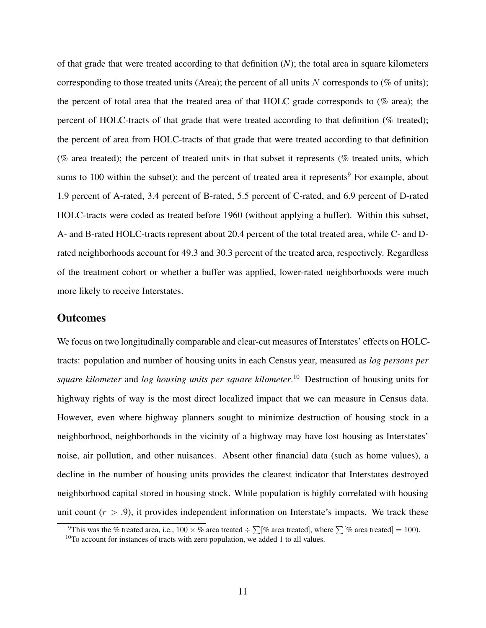of that grade that were treated according to that definition (*N*); the total area in square kilometers corresponding to those treated units (Area); the percent of all units  $N$  corresponds to (% of units); the percent of total area that the treated area of that HOLC grade corresponds to (% area); the percent of HOLC-tracts of that grade that were treated according to that definition (% treated); the percent of area from HOLC-tracts of that grade that were treated according to that definition ( $%$  area treated); the percent of treated units in that subset it represents ( $%$  treated units, which sums to 100 within the subset); and the percent of treated area it represents<sup>[9](#page-12-0)</sup> For example, about 1.9 percent of A-rated, 3.4 percent of B-rated, 5.5 percent of C-rated, and 6.9 percent of D-rated HOLC-tracts were coded as treated before 1960 (without applying a buffer). Within this subset, A- and B-rated HOLC-tracts represent about 20.4 percent of the total treated area, while C- and Drated neighborhoods account for 49.3 and 30.3 percent of the treated area, respectively. Regardless of the treatment cohort or whether a buffer was applied, lower-rated neighborhoods were much more likely to receive Interstates.

#### **Outcomes**

We focus on two longitudinally comparable and clear-cut measures of Interstates' effects on HOLCtracts: population and number of housing units in each Census year, measured as *log persons per square kilometer* and *log housing units per square kilometer*. [10](#page-12-1) Destruction of housing units for highway rights of way is the most direct localized impact that we can measure in Census data. However, even where highway planners sought to minimize destruction of housing stock in a neighborhood, neighborhoods in the vicinity of a highway may have lost housing as Interstates' noise, air pollution, and other nuisances. Absent other financial data (such as home values), a decline in the number of housing units provides the clearest indicator that Interstates destroyed neighborhood capital stored in housing stock. While population is highly correlated with housing unit count  $(r > .9)$ , it provides independent information on Interstate's impacts. We track these

<span id="page-12-0"></span><sup>&</sup>lt;sup>9</sup>This was the % treated area, i.e.,  $100 \times$  % area treated  $\div \sum [\%$  area treated], where  $\sum [\%$  area treated] = 100).

<span id="page-12-1"></span> $10$ To account for instances of tracts with zero population, we added 1 to all values.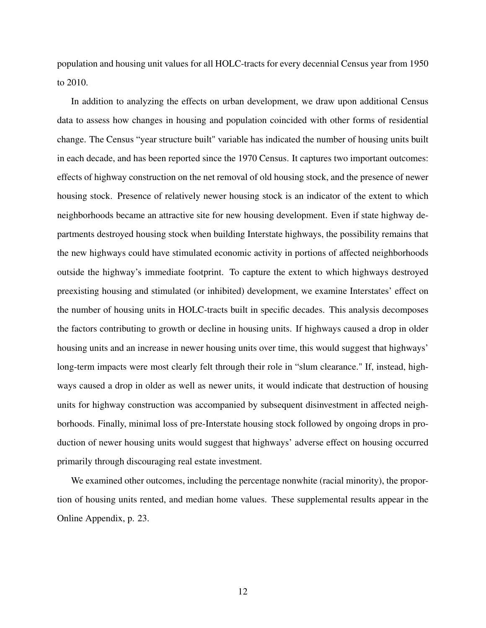population and housing unit values for all HOLC-tracts for every decennial Census year from 1950 to 2010.

In addition to analyzing the effects on urban development, we draw upon additional Census data to assess how changes in housing and population coincided with other forms of residential change. The Census "year structure built" variable has indicated the number of housing units built in each decade, and has been reported since the 1970 Census. It captures two important outcomes: effects of highway construction on the net removal of old housing stock, and the presence of newer housing stock. Presence of relatively newer housing stock is an indicator of the extent to which neighborhoods became an attractive site for new housing development. Even if state highway departments destroyed housing stock when building Interstate highways, the possibility remains that the new highways could have stimulated economic activity in portions of affected neighborhoods outside the highway's immediate footprint. To capture the extent to which highways destroyed preexisting housing and stimulated (or inhibited) development, we examine Interstates' effect on the number of housing units in HOLC-tracts built in specific decades. This analysis decomposes the factors contributing to growth or decline in housing units. If highways caused a drop in older housing units and an increase in newer housing units over time, this would suggest that highways' long-term impacts were most clearly felt through their role in "slum clearance." If, instead, highways caused a drop in older as well as newer units, it would indicate that destruction of housing units for highway construction was accompanied by subsequent disinvestment in affected neighborhoods. Finally, minimal loss of pre-Interstate housing stock followed by ongoing drops in production of newer housing units would suggest that highways' adverse effect on housing occurred primarily through discouraging real estate investment.

We examined other outcomes, including the percentage nonwhite (racial minority), the proportion of housing units rented, and median home values. These supplemental results appear in the Online Appendix, p. [23.](#page-61-0)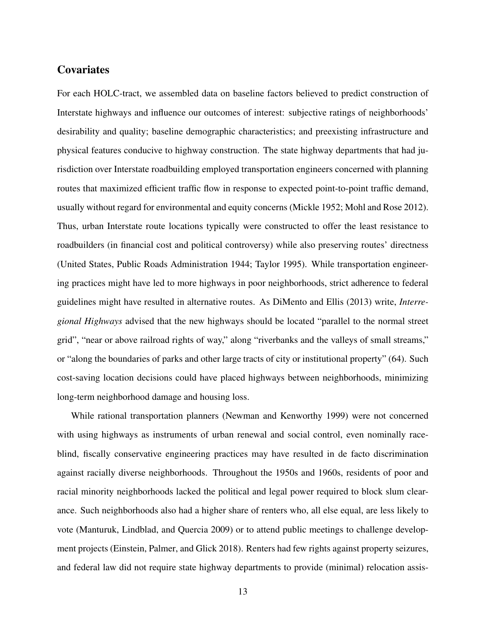### **Covariates**

For each HOLC-tract, we assembled data on baseline factors believed to predict construction of Interstate highways and influence our outcomes of interest: subjective ratings of neighborhoods' desirability and quality; baseline demographic characteristics; and preexisting infrastructure and physical features conducive to highway construction. The state highway departments that had jurisdiction over Interstate roadbuilding employed transportation engineers concerned with planning routes that maximized efficient traffic flow in response to expected point-to-point traffic demand, usually without regard for environmental and equity concerns (Mickle [1952;](#page-36-9) Mohl and Rose [2012\)](#page-36-5). Thus, urban Interstate route locations typically were constructed to offer the least resistance to roadbuilders (in financial cost and political controversy) while also preserving routes' directness (United States, Public Roads Administration [1944;](#page-38-4) Taylor [1995\)](#page-37-8). While transportation engineering practices might have led to more highways in poor neighborhoods, strict adherence to federal guidelines might have resulted in alternative routes. As DiMento and Ellis [\(2013\)](#page-33-4) write, *Interregional Highways* advised that the new highways should be located "parallel to the normal street grid", "near or above railroad rights of way," along "riverbanks and the valleys of small streams," or "along the boundaries of parks and other large tracts of city or institutional property" (64). Such cost-saving location decisions could have placed highways between neighborhoods, minimizing long-term neighborhood damage and housing loss.

While rational transportation planners (Newman and Kenworthy [1999\)](#page-36-2) were not concerned with using highways as instruments of urban renewal and social control, even nominally raceblind, fiscally conservative engineering practices may have resulted in de facto discrimination against racially diverse neighborhoods. Throughout the 1950s and 1960s, residents of poor and racial minority neighborhoods lacked the political and legal power required to block slum clearance. Such neighborhoods also had a higher share of renters who, all else equal, are less likely to vote (Manturuk, Lindblad, and Quercia [2009\)](#page-36-10) or to attend public meetings to challenge development projects (Einstein, Palmer, and Glick [2018\)](#page-33-7). Renters had few rights against property seizures, and federal law did not require state highway departments to provide (minimal) relocation assis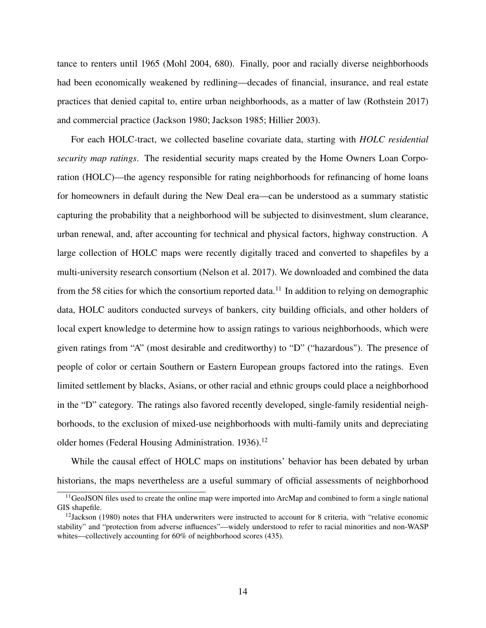tance to renters until 1965 (Mohl [2004,](#page-36-1) 680). Finally, poor and racially diverse neighborhoods had been economically weakened by redlining—decades of financial, insurance, and real estate practices that denied capital to, entire urban neighborhoods, as a matter of law (Rothstein [2017\)](#page-37-9) and commercial practice (Jackson [1980;](#page-35-7) Jackson [1985;](#page-35-5) Hillier [2003\)](#page-34-11).

For each HOLC-tract, we collected baseline covariate data, starting with *HOLC residential security map ratings*. The residential security maps created by the Home Owners Loan Corporation (HOLC)—the agency responsible for rating neighborhoods for refinancing of home loans for homeowners in default during the New Deal era—can be understood as a summary statistic capturing the probability that a neighborhood will be subjected to disinvestment, slum clearance, urban renewal, and, after accounting for technical and physical factors, highway construction. A large collection of HOLC maps were recently digitally traced and converted to shapefiles by a multi-university research consortium (Nelson et al. [2017\)](#page-36-4). We downloaded and combined the data from the 58 cities for which the consortium reported data.<sup>[11](#page-15-0)</sup> In addition to relying on demographic data, HOLC auditors conducted surveys of bankers, city building officials, and other holders of local expert knowledge to determine how to assign ratings to various neighborhoods, which were given ratings from "A" (most desirable and creditworthy) to "D" ("hazardous"). The presence of people of color or certain Southern or Eastern European groups factored into the ratings. Even limited settlement by blacks, Asians, or other racial and ethnic groups could place a neighborhood in the "D" category. The ratings also favored recently developed, single-family residential neighborhoods, to the exclusion of mixed-use neighborhoods with multi-family units and depreciating older homes (Federal Housing Administration. [1936\)](#page-33-8).<sup>[12](#page-15-1)</sup>

While the causal effect of HOLC maps on institutions' behavior has been debated by urban historians, the maps nevertheless are a useful summary of official assessments of neighborhood

<span id="page-15-0"></span><sup>&</sup>lt;sup>11</sup>GeoJSON files used to create the online map were imported into ArcMap and combined to form a single national GIS shapefile.

<span id="page-15-1"></span> $12$  Jackson [\(1980\)](#page-35-7) notes that FHA underwriters were instructed to account for 8 criteria, with "relative economic stability" and "protection from adverse influences"—widely understood to refer to racial minorities and non-WASP whites—collectively accounting for 60% of neighborhood scores (435).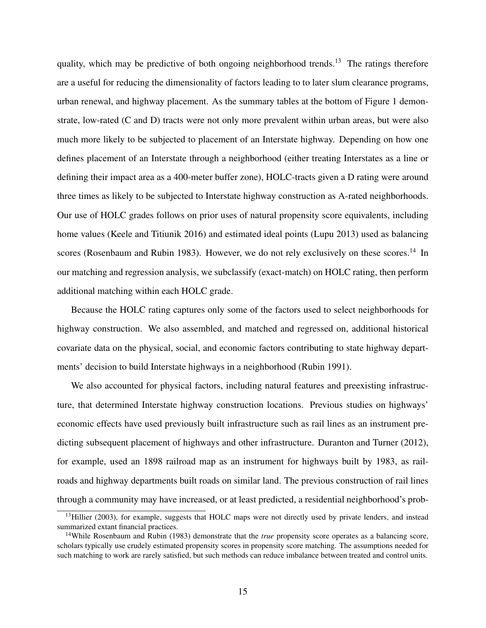quality, which may be predictive of both ongoing neighborhood trends.<sup>[13](#page-16-0)</sup> The ratings therefore are a useful for reducing the dimensionality of factors leading to to later slum clearance programs, urban renewal, and highway placement. As the summary tables at the bottom of Figure [1](#page-9-0) demonstrate, low-rated (C and D) tracts were not only more prevalent within urban areas, but were also much more likely to be subjected to placement of an Interstate highway. Depending on how one defines placement of an Interstate through a neighborhood (either treating Interstates as a line or defining their impact area as a 400-meter buffer zone), HOLC-tracts given a D rating were around three times as likely to be subjected to Interstate highway construction as A-rated neighborhoods. Our use of HOLC grades follows on prior uses of natural propensity score equivalents, including home values (Keele and Titiunik [2016\)](#page-35-8) and estimated ideal points (Lupu [2013\)](#page-35-9) used as balancing scores (Rosenbaum and Rubin [1983\)](#page-37-10). However, we do not rely exclusively on these scores.<sup>[14](#page-16-1)</sup> In our matching and regression analysis, we subclassify (exact-match) on HOLC rating, then perform additional matching within each HOLC grade.

Because the HOLC rating captures only some of the factors used to select neighborhoods for highway construction. We also assembled, and matched and regressed on, additional historical covariate data on the physical, social, and economic factors contributing to state highway departments' decision to build Interstate highways in a neighborhood (Rubin [1991\)](#page-37-5).

We also accounted for physical factors, including natural features and preexisting infrastructure, that determined Interstate highway construction locations. Previous studies on highways' economic effects have used previously built infrastructure such as rail lines as an instrument predicting subsequent placement of highways and other infrastructure. Duranton and Turner [\(2012\)](#page-33-9), for example, used an 1898 railroad map as an instrument for highways built by 1983, as railroads and highway departments built roads on similar land. The previous construction of rail lines through a community may have increased, or at least predicted, a residential neighborhood's prob-

<span id="page-16-0"></span><sup>&</sup>lt;sup>13</sup>Hillier [\(2003\)](#page-34-11), for example, suggests that HOLC maps were not directly used by private lenders, and instead summarized extant financial practices.

<span id="page-16-1"></span><sup>&</sup>lt;sup>14</sup>While Rosenbaum and Rubin [\(1983\)](#page-37-10) demonstrate that the *true* propensity score operates as a balancing score, scholars typically use crudely estimated propensity scores in propensity score matching. The assumptions needed for such matching to work are rarely satisfied, but such methods can reduce imbalance between treated and control units.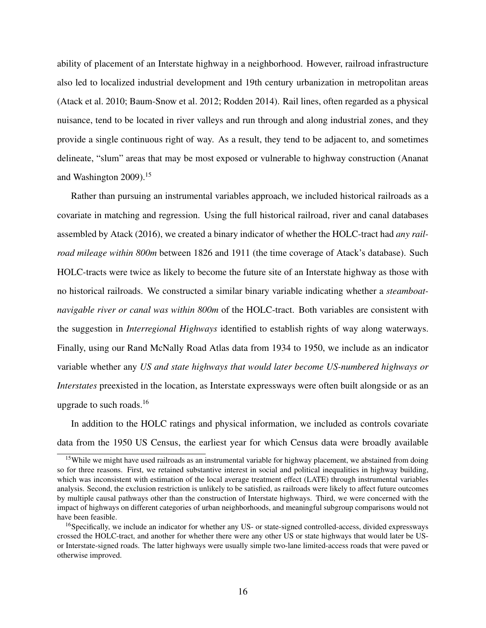ability of placement of an Interstate highway in a neighborhood. However, railroad infrastructure also led to localized industrial development and 19th century urbanization in metropolitan areas (Atack et al. [2010;](#page-32-4) Baum-Snow et al. [2012;](#page-32-5) Rodden [2014\)](#page-36-11). Rail lines, often regarded as a physical nuisance, tend to be located in river valleys and run through and along industrial zones, and they provide a single continuous right of way. As a result, they tend to be adjacent to, and sometimes delineate, "slum" areas that may be most exposed or vulnerable to highway construction (Ananat and Washington [2009\)](#page-32-6).[15](#page-17-0)

Rather than pursuing an instrumental variables approach, we included historical railroads as a covariate in matching and regression. Using the full historical railroad, river and canal databases assembled by Atack [\(2016\)](#page-32-7), we created a binary indicator of whether the HOLC-tract had *any railroad mileage within 800m* between 1826 and 1911 (the time coverage of Atack's database). Such HOLC-tracts were twice as likely to become the future site of an Interstate highway as those with no historical railroads. We constructed a similar binary variable indicating whether a *steamboatnavigable river or canal was within 800m* of the HOLC-tract. Both variables are consistent with the suggestion in *Interregional Highways* identified to establish rights of way along waterways. Finally, using our Rand McNally Road Atlas data from 1934 to 1950, we include as an indicator variable whether any *US and state highways that would later become US-numbered highways or Interstates* preexisted in the location, as Interstate expressways were often built alongside or as an upgrade to such roads.[16](#page-17-1)

In addition to the HOLC ratings and physical information, we included as controls covariate data from the 1950 US Census, the earliest year for which Census data were broadly available

<span id="page-17-0"></span><sup>&</sup>lt;sup>15</sup>While we might have used railroads as an instrumental variable for highway placement, we abstained from doing so for three reasons. First, we retained substantive interest in social and political inequalities in highway building, which was inconsistent with estimation of the local average treatment effect (LATE) through instrumental variables analysis. Second, the exclusion restriction is unlikely to be satisfied, as railroads were likely to affect future outcomes by multiple causal pathways other than the construction of Interstate highways. Third, we were concerned with the impact of highways on different categories of urban neighborhoods, and meaningful subgroup comparisons would not have been feasible.

<span id="page-17-1"></span><sup>&</sup>lt;sup>16</sup>Specifically, we include an indicator for whether any US- or state-signed controlled-access, divided expressways crossed the HOLC-tract, and another for whether there were any other US or state highways that would later be USor Interstate-signed roads. The latter highways were usually simple two-lane limited-access roads that were paved or otherwise improved.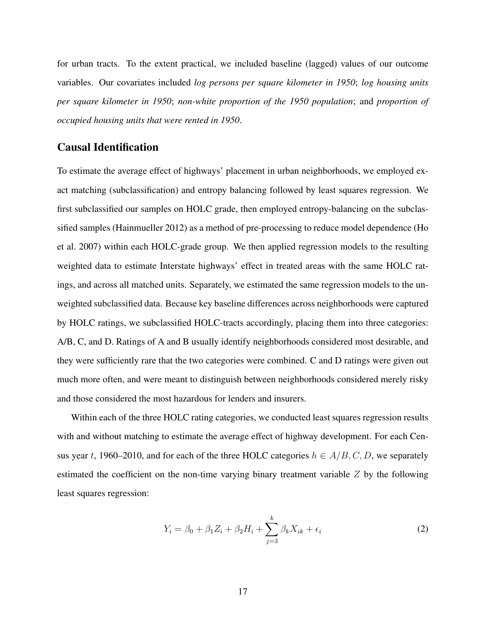for urban tracts. To the extent practical, we included baseline (lagged) values of our outcome variables. Our covariates included *log persons per square kilometer in 1950*; *log housing units per square kilometer in 1950*; *non-white proportion of the 1950 population*; and *proportion of occupied housing units that were rented in 1950*.

### Causal Identification

To estimate the average effect of highways' placement in urban neighborhoods, we employed exact matching (subclassification) and entropy balancing followed by least squares regression. We first subclassified our samples on HOLC grade, then employed entropy-balancing on the subclassified samples (Hainmueller [2012\)](#page-34-12) as a method of pre-processing to reduce model dependence (Ho et al. [2007\)](#page-35-4) within each HOLC-grade group. We then applied regression models to the resulting weighted data to estimate Interstate highways' effect in treated areas with the same HOLC ratings, and across all matched units. Separately, we estimated the same regression models to the unweighted subclassified data. Because key baseline differences across neighborhoods were captured by HOLC ratings, we subclassified HOLC-tracts accordingly, placing them into three categories: A/B, C, and D. Ratings of A and B usually identify neighborhoods considered most desirable, and they were sufficiently rare that the two categories were combined. C and D ratings were given out much more often, and were meant to distinguish between neighborhoods considered merely risky and those considered the most hazardous for lenders and insurers.

Within each of the three HOLC rating categories, we conducted least squares regression results with and without matching to estimate the average effect of highway development. For each Census year t, 1960–2010, and for each of the three HOLC categories  $h \in A/B, C, D$ , we separately estimated the coefficient on the non-time varying binary treatment variable  $Z$  by the following least squares regression:

$$
Y_i = \beta_0 + \beta_1 Z_i + \beta_2 H_i + \sum_{j=3}^k \beta_k X_{ik} + \epsilon_i
$$
\n<sup>(2)</sup>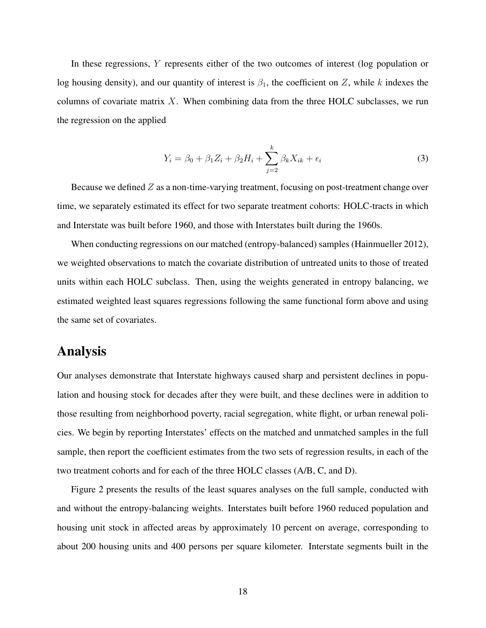In these regressions, Y represents either of the two outcomes of interest (log population or log housing density), and our quantity of interest is  $\beta_1$ , the coefficient on Z, while k indexes the columns of covariate matrix  $X$ . When combining data from the three HOLC subclasses, we run the regression on the applied

$$
Y_i = \beta_0 + \beta_1 Z_i + \beta_2 H_i + \sum_{j=2}^k \beta_k X_{ik} + \epsilon_i
$$
\n(3)

Because we defined  $Z$  as a non-time-varying treatment, focusing on post-treatment change over time, we separately estimated its effect for two separate treatment cohorts: HOLC-tracts in which and Interstate was built before 1960, and those with Interstates built during the 1960s.

When conducting regressions on our matched (entropy-balanced) samples (Hainmueller [2012\)](#page-34-12), we weighted observations to match the covariate distribution of untreated units to those of treated units within each HOLC subclass. Then, using the weights generated in entropy balancing, we estimated weighted least squares regressions following the same functional form above and using the same set of covariates.

### Analysis

Our analyses demonstrate that Interstate highways caused sharp and persistent declines in population and housing stock for decades after they were built, and these declines were in addition to those resulting from neighborhood poverty, racial segregation, white flight, or urban renewal policies. We begin by reporting Interstates' effects on the matched and unmatched samples in the full sample, then report the coefficient estimates from the two sets of regression results, in each of the two treatment cohorts and for each of the three HOLC classes (A/B, C, and D).

Figure [2](#page-21-0) presents the results of the least squares analyses on the full sample, conducted with and without the entropy-balancing weights. Interstates built before 1960 reduced population and housing unit stock in affected areas by approximately 10 percent on average, corresponding to about 200 housing units and 400 persons per square kilometer. Interstate segments built in the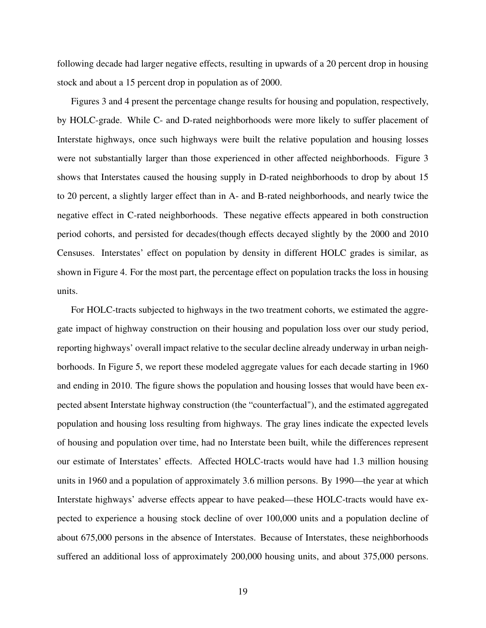following decade had larger negative effects, resulting in upwards of a 20 percent drop in housing stock and about a 15 percent drop in population as of 2000.

Figures [3](#page-22-0) and [4](#page-23-0) present the percentage change results for housing and population, respectively, by HOLC-grade. While C- and D-rated neighborhoods were more likely to suffer placement of Interstate highways, once such highways were built the relative population and housing losses were not substantially larger than those experienced in other affected neighborhoods. Figure [3](#page-22-0) shows that Interstates caused the housing supply in D-rated neighborhoods to drop by about 15 to 20 percent, a slightly larger effect than in A- and B-rated neighborhoods, and nearly twice the negative effect in C-rated neighborhoods. These negative effects appeared in both construction period cohorts, and persisted for decades(though effects decayed slightly by the 2000 and 2010 Censuses. Interstates' effect on population by density in different HOLC grades is similar, as shown in Figure [4.](#page-23-0) For the most part, the percentage effect on population tracks the loss in housing units.

For HOLC-tracts subjected to highways in the two treatment cohorts, we estimated the aggregate impact of highway construction on their housing and population loss over our study period, reporting highways' overall impact relative to the secular decline already underway in urban neighborhoods. In Figure [5,](#page-24-0) we report these modeled aggregate values for each decade starting in 1960 and ending in 2010. The figure shows the population and housing losses that would have been expected absent Interstate highway construction (the "counterfactual"), and the estimated aggregated population and housing loss resulting from highways. The gray lines indicate the expected levels of housing and population over time, had no Interstate been built, while the differences represent our estimate of Interstates' effects. Affected HOLC-tracts would have had 1.3 million housing units in 1960 and a population of approximately 3.6 million persons. By 1990—the year at which Interstate highways' adverse effects appear to have peaked—these HOLC-tracts would have expected to experience a housing stock decline of over 100,000 units and a population decline of about 675,000 persons in the absence of Interstates. Because of Interstates, these neighborhoods suffered an additional loss of approximately 200,000 housing units, and about 375,000 persons.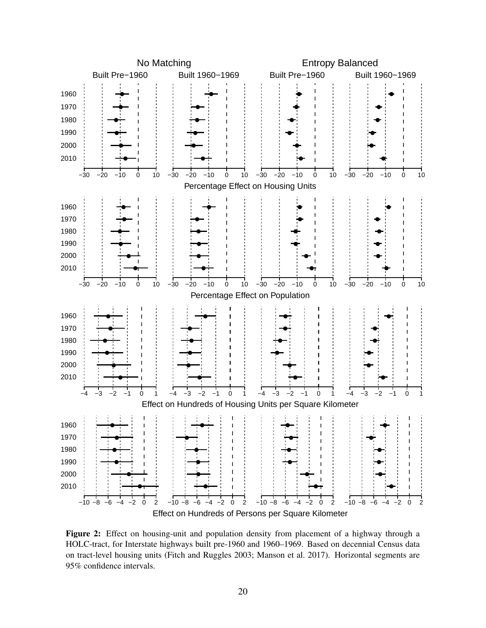<span id="page-21-0"></span>

Figure 2: Effect on housing-unit and population density from placement of a highway through a HOLC-tract, for Interstate highways built pre-1960 and 1960–1969. Based on decennial Census data on tract-level housing units (Fitch and Ruggles [2003;](#page-33-2) Manson et al. [2017\)](#page-35-2). Horizontal segments are 95% confidence intervals.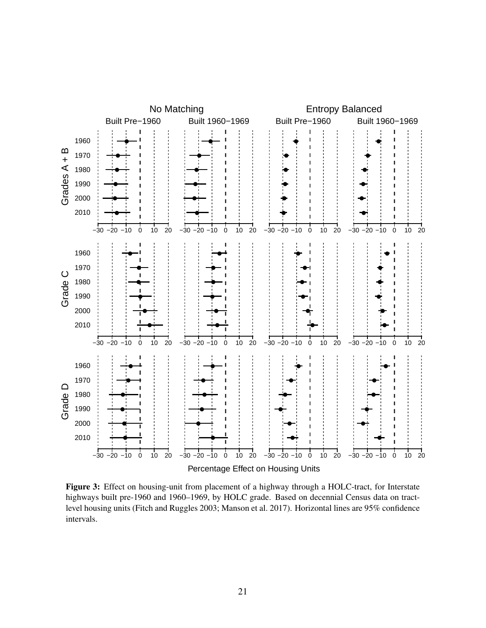<span id="page-22-0"></span>

Figure 3: Effect on housing-unit from placement of a highway through a HOLC-tract, for Interstate highways built pre-1960 and 1960–1969, by HOLC grade. Based on decennial Census data on tractlevel housing units (Fitch and Ruggles [2003;](#page-33-2) Manson et al. [2017\)](#page-35-2). Horizontal lines are 95% confidence intervals.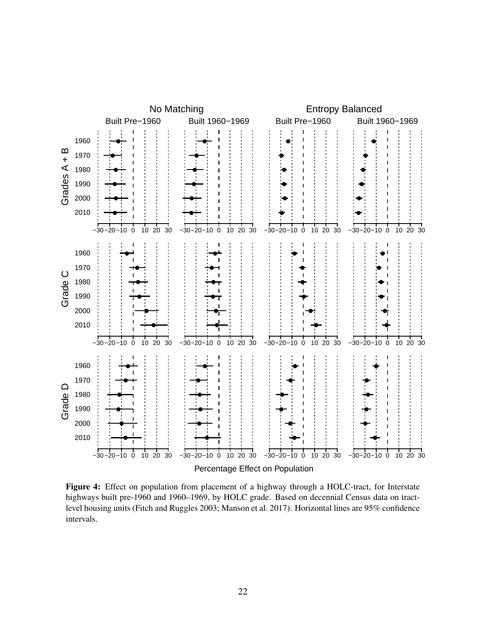<span id="page-23-0"></span>

Figure 4: Effect on population from placement of a highway through a HOLC-tract, for Interstate highways built pre-1960 and 1960–1969, by HOLC grade. Based on decennial Census data on tractlevel housing units (Fitch and Ruggles [2003;](#page-33-2) Manson et al. [2017\)](#page-35-2). Horizontal lines are 95% confidence intervals.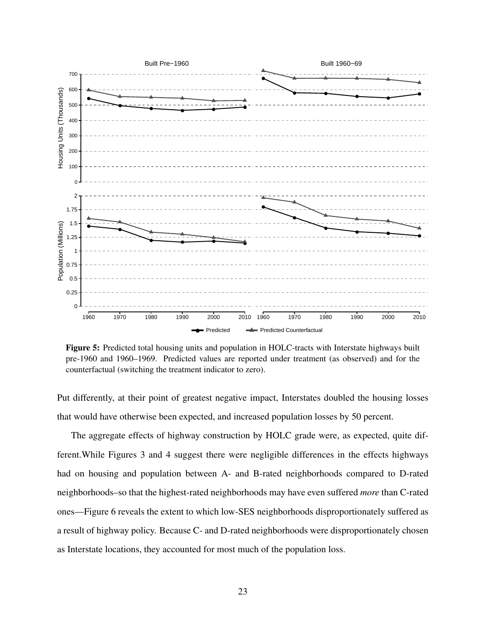<span id="page-24-0"></span>

Figure 5: Predicted total housing units and population in HOLC-tracts with Interstate highways built pre-1960 and 1960–1969. Predicted values are reported under treatment (as observed) and for the counterfactual (switching the treatment indicator to zero).

Put differently, at their point of greatest negative impact, Interstates doubled the housing losses that would have otherwise been expected, and increased population losses by 50 percent.

The aggregate effects of highway construction by HOLC grade were, as expected, quite different.While Figures [3](#page-22-0) and [4](#page-23-0) suggest there were negligible differences in the effects highways had on housing and population between A- and B-rated neighborhoods compared to D-rated neighborhoods–so that the highest-rated neighborhoods may have even suffered *more* than C-rated ones—Figure [6](#page-25-0) reveals the extent to which low-SES neighborhoods disproportionately suffered as a result of highway policy. Because C- and D-rated neighborhoods were disproportionately chosen as Interstate locations, they accounted for most much of the population loss.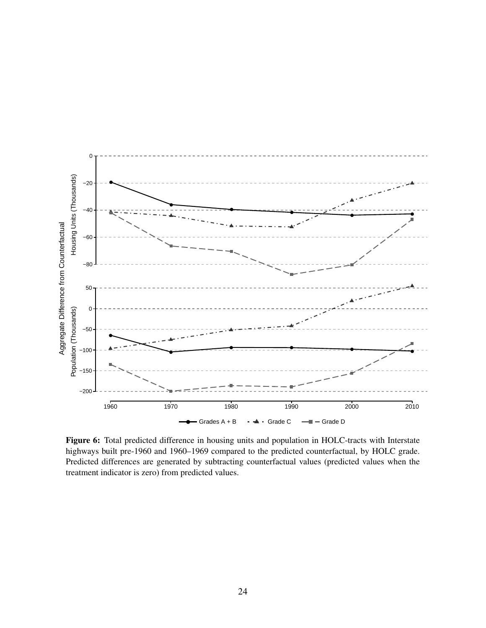<span id="page-25-0"></span>

Figure 6: Total predicted difference in housing units and population in HOLC-tracts with Interstate highways built pre-1960 and 1960–1969 compared to the predicted counterfactual, by HOLC grade. Predicted differences are generated by subtracting counterfactual values (predicted values when the treatment indicator is zero) from predicted values.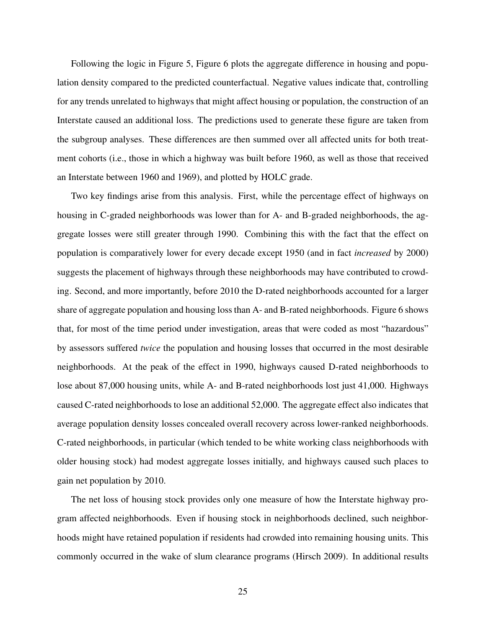Following the logic in Figure [5,](#page-24-0) Figure [6](#page-25-0) plots the aggregate difference in housing and population density compared to the predicted counterfactual. Negative values indicate that, controlling for any trends unrelated to highways that might affect housing or population, the construction of an Interstate caused an additional loss. The predictions used to generate these figure are taken from the subgroup analyses. These differences are then summed over all affected units for both treatment cohorts (i.e., those in which a highway was built before 1960, as well as those that received an Interstate between 1960 and 1969), and plotted by HOLC grade.

Two key findings arise from this analysis. First, while the percentage effect of highways on housing in C-graded neighborhoods was lower than for A- and B-graded neighborhoods, the aggregate losses were still greater through 1990. Combining this with the fact that the effect on population is comparatively lower for every decade except 1950 (and in fact *increased* by 2000) suggests the placement of highways through these neighborhoods may have contributed to crowding. Second, and more importantly, before 2010 the D-rated neighborhoods accounted for a larger share of aggregate population and housing loss than A- and B-rated neighborhoods. Figure [6](#page-25-0) shows that, for most of the time period under investigation, areas that were coded as most "hazardous" by assessors suffered *twice* the population and housing losses that occurred in the most desirable neighborhoods. At the peak of the effect in 1990, highways caused D-rated neighborhoods to lose about 87,000 housing units, while A- and B-rated neighborhoods lost just 41,000. Highways caused C-rated neighborhoods to lose an additional 52,000. The aggregate effect also indicates that average population density losses concealed overall recovery across lower-ranked neighborhoods. C-rated neighborhoods, in particular (which tended to be white working class neighborhoods with older housing stock) had modest aggregate losses initially, and highways caused such places to gain net population by 2010.

The net loss of housing stock provides only one measure of how the Interstate highway program affected neighborhoods. Even if housing stock in neighborhoods declined, such neighborhoods might have retained population if residents had crowded into remaining housing units. This commonly occurred in the wake of slum clearance programs (Hirsch [2009\)](#page-35-3). In additional results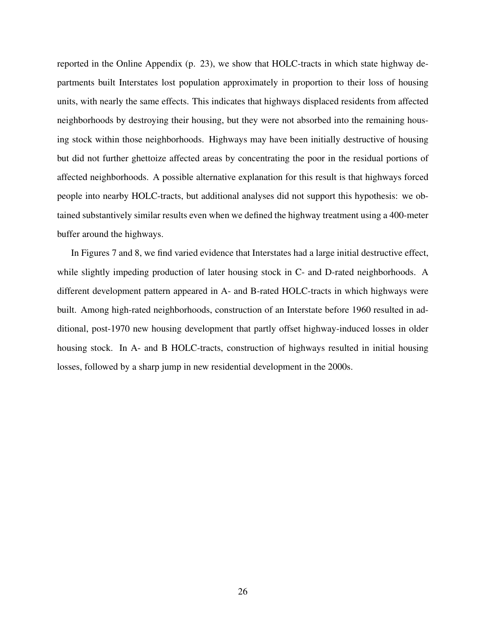reported in the Online Appendix (p. [23\)](#page-61-0), we show that HOLC-tracts in which state highway departments built Interstates lost population approximately in proportion to their loss of housing units, with nearly the same effects. This indicates that highways displaced residents from affected neighborhoods by destroying their housing, but they were not absorbed into the remaining housing stock within those neighborhoods. Highways may have been initially destructive of housing but did not further ghettoize affected areas by concentrating the poor in the residual portions of affected neighborhoods. A possible alternative explanation for this result is that highways forced people into nearby HOLC-tracts, but additional analyses did not support this hypothesis: we obtained substantively similar results even when we defined the highway treatment using a 400-meter buffer around the highways.

In Figures [7](#page-28-0) and [8,](#page-29-0) we find varied evidence that Interstates had a large initial destructive effect, while slightly impeding production of later housing stock in C- and D-rated neighborhoods. A different development pattern appeared in A- and B-rated HOLC-tracts in which highways were built. Among high-rated neighborhoods, construction of an Interstate before 1960 resulted in additional, post-1970 new housing development that partly offset highway-induced losses in older housing stock. In A- and B HOLC-tracts, construction of highways resulted in initial housing losses, followed by a sharp jump in new residential development in the 2000s.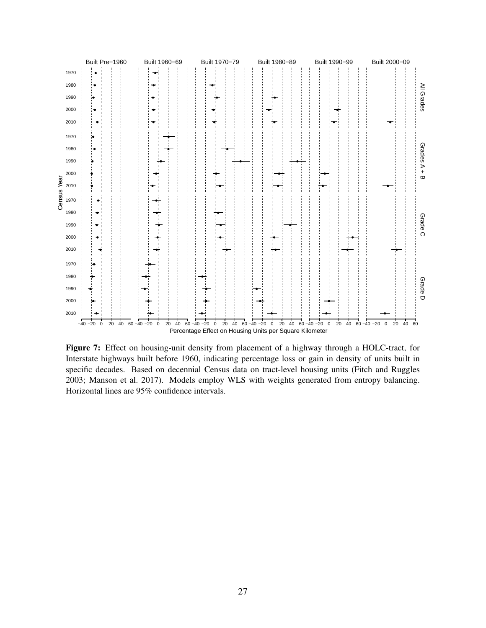<span id="page-28-0"></span>

Figure 7: Effect on housing-unit density from placement of a highway through a HOLC-tract, for Interstate highways built before 1960, indicating percentage loss or gain in density of units built in specific decades. Based on decennial Census data on tract-level housing units (Fitch and Ruggles [2003;](#page-33-2) Manson et al. [2017\)](#page-35-2). Models employ WLS with weights generated from entropy balancing. Horizontal lines are 95% confidence intervals.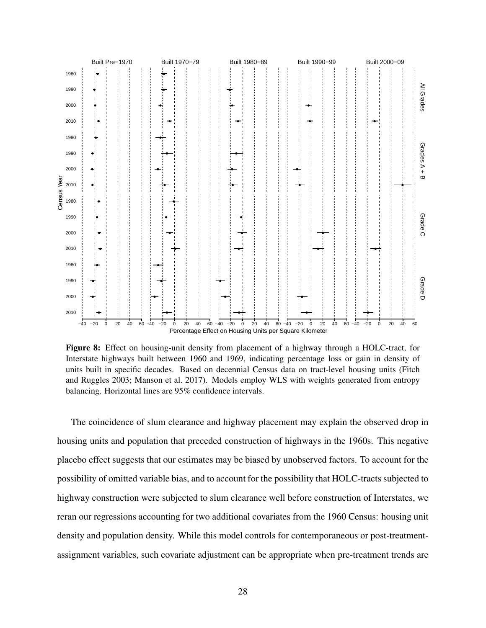<span id="page-29-0"></span>

Figure 8: Effect on housing-unit density from placement of a highway through a HOLC-tract, for Interstate highways built between 1960 and 1969, indicating percentage loss or gain in density of units built in specific decades. Based on decennial Census data on tract-level housing units (Fitch and Ruggles [2003;](#page-33-2) Manson et al. [2017\)](#page-35-2). Models employ WLS with weights generated from entropy balancing. Horizontal lines are 95% confidence intervals.

The coincidence of slum clearance and highway placement may explain the observed drop in housing units and population that preceded construction of highways in the 1960s. This negative placebo effect suggests that our estimates may be biased by unobserved factors. To account for the possibility of omitted variable bias, and to account for the possibility that HOLC-tracts subjected to highway construction were subjected to slum clearance well before construction of Interstates, we reran our regressions accounting for two additional covariates from the 1960 Census: housing unit density and population density. While this model controls for contemporaneous or post-treatmentassignment variables, such covariate adjustment can be appropriate when pre-treatment trends are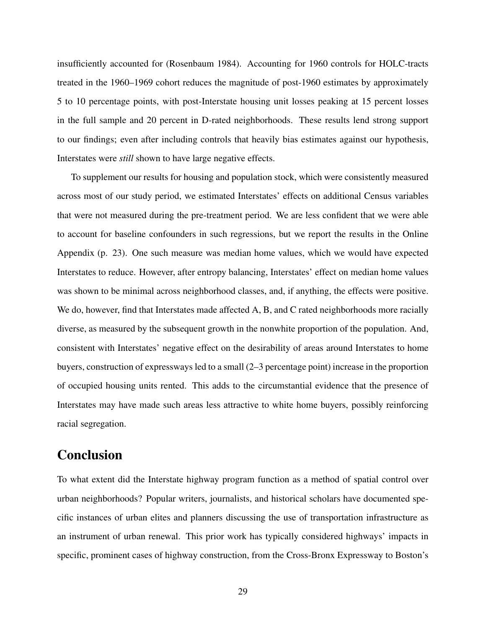insufficiently accounted for (Rosenbaum [1984\)](#page-37-11). Accounting for 1960 controls for HOLC-tracts treated in the 1960–1969 cohort reduces the magnitude of post-1960 estimates by approximately 5 to 10 percentage points, with post-Interstate housing unit losses peaking at 15 percent losses in the full sample and 20 percent in D-rated neighborhoods. These results lend strong support to our findings; even after including controls that heavily bias estimates against our hypothesis, Interstates were *still* shown to have large negative effects.

To supplement our results for housing and population stock, which were consistently measured across most of our study period, we estimated Interstates' effects on additional Census variables that were not measured during the pre-treatment period. We are less confident that we were able to account for baseline confounders in such regressions, but we report the results in the Online Appendix (p. [23\)](#page-61-0). One such measure was median home values, which we would have expected Interstates to reduce. However, after entropy balancing, Interstates' effect on median home values was shown to be minimal across neighborhood classes, and, if anything, the effects were positive. We do, however, find that Interstates made affected A, B, and C rated neighborhoods more racially diverse, as measured by the subsequent growth in the nonwhite proportion of the population. And, consistent with Interstates' negative effect on the desirability of areas around Interstates to home buyers, construction of expressways led to a small (2–3 percentage point) increase in the proportion of occupied housing units rented. This adds to the circumstantial evidence that the presence of Interstates may have made such areas less attractive to white home buyers, possibly reinforcing racial segregation.

## Conclusion

To what extent did the Interstate highway program function as a method of spatial control over urban neighborhoods? Popular writers, journalists, and historical scholars have documented specific instances of urban elites and planners discussing the use of transportation infrastructure as an instrument of urban renewal. This prior work has typically considered highways' impacts in specific, prominent cases of highway construction, from the Cross-Bronx Expressway to Boston's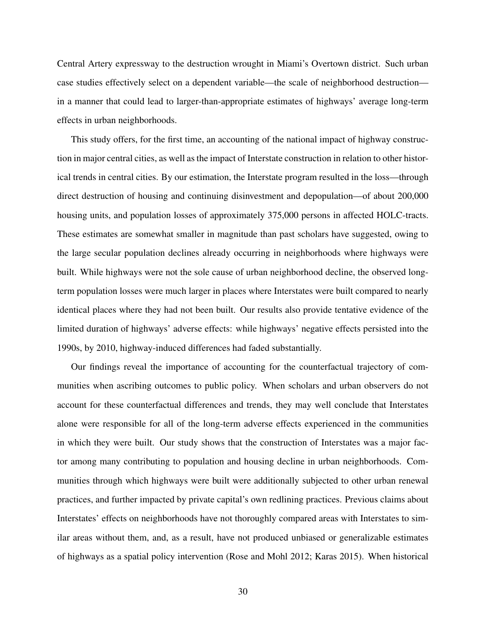Central Artery expressway to the destruction wrought in Miami's Overtown district. Such urban case studies effectively select on a dependent variable—the scale of neighborhood destruction in a manner that could lead to larger-than-appropriate estimates of highways' average long-term effects in urban neighborhoods.

This study offers, for the first time, an accounting of the national impact of highway construction in major central cities, as well as the impact of Interstate construction in relation to other historical trends in central cities. By our estimation, the Interstate program resulted in the loss—through direct destruction of housing and continuing disinvestment and depopulation—of about 200,000 housing units, and population losses of approximately 375,000 persons in affected HOLC-tracts. These estimates are somewhat smaller in magnitude than past scholars have suggested, owing to the large secular population declines already occurring in neighborhoods where highways were built. While highways were not the sole cause of urban neighborhood decline, the observed longterm population losses were much larger in places where Interstates were built compared to nearly identical places where they had not been built. Our results also provide tentative evidence of the limited duration of highways' adverse effects: while highways' negative effects persisted into the 1990s, by 2010, highway-induced differences had faded substantially.

Our findings reveal the importance of accounting for the counterfactual trajectory of communities when ascribing outcomes to public policy. When scholars and urban observers do not account for these counterfactual differences and trends, they may well conclude that Interstates alone were responsible for all of the long-term adverse effects experienced in the communities in which they were built. Our study shows that the construction of Interstates was a major factor among many contributing to population and housing decline in urban neighborhoods. Communities through which highways were built were additionally subjected to other urban renewal practices, and further impacted by private capital's own redlining practices. Previous claims about Interstates' effects on neighborhoods have not thoroughly compared areas with Interstates to similar areas without them, and, as a result, have not produced unbiased or generalizable estimates of highways as a spatial policy intervention (Rose and Mohl [2012;](#page-36-3) Karas [2015\)](#page-35-10). When historical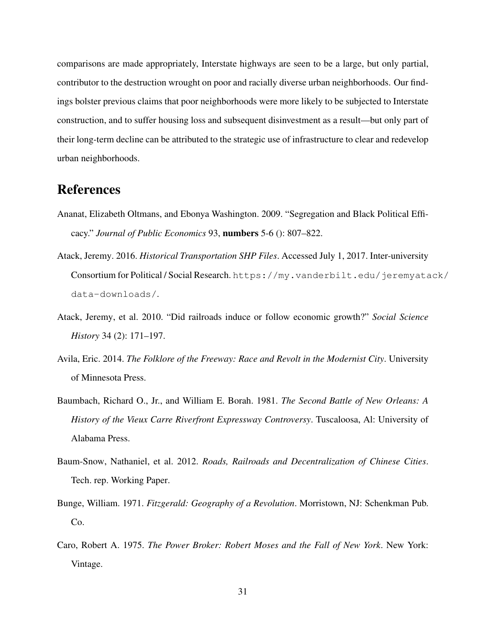comparisons are made appropriately, Interstate highways are seen to be a large, but only partial, contributor to the destruction wrought on poor and racially diverse urban neighborhoods. Our findings bolster previous claims that poor neighborhoods were more likely to be subjected to Interstate construction, and to suffer housing loss and subsequent disinvestment as a result—but only part of their long-term decline can be attributed to the strategic use of infrastructure to clear and redevelop urban neighborhoods.

## References

- <span id="page-32-6"></span>Ananat, Elizabeth Oltmans, and Ebonya Washington. 2009. "Segregation and Black Political Efficacy." *Journal of Public Economics* 93, numbers 5-6 (): 807–822.
- <span id="page-32-7"></span>Atack, Jeremy. 2016. *Historical Transportation SHP Files*. Accessed July 1, 2017. Inter-university Consortium for Political / Social Research. [https://my.vanderbilt.edu/jeremyata](https://my.vanderbilt.edu/jeremyatack/data-downloads/)ck/ [data-downloads/](https://my.vanderbilt.edu/jeremyatack/data-downloads/).
- <span id="page-32-4"></span>Atack, Jeremy, et al. 2010. "Did railroads induce or follow economic growth?" *Social Science History* 34 (2): 171–197.
- <span id="page-32-2"></span>Avila, Eric. 2014. *The Folklore of the Freeway: Race and Revolt in the Modernist City*. University of Minnesota Press.
- <span id="page-32-1"></span>Baumbach, Richard O., Jr., and William E. Borah. 1981. *The Second Battle of New Orleans: A History of the Vieux Carre Riverfront Expressway Controversy*. Tuscaloosa, Al: University of Alabama Press.
- <span id="page-32-5"></span>Baum-Snow, Nathaniel, et al. 2012. *Roads, Railroads and Decentralization of Chinese Cities*. Tech. rep. Working Paper.
- <span id="page-32-3"></span>Bunge, William. 1971. *Fitzgerald: Geography of a Revolution*. Morristown, NJ: Schenkman Pub. Co.
- <span id="page-32-0"></span>Caro, Robert A. 1975. *The Power Broker: Robert Moses and the Fall of New York*. New York: Vintage.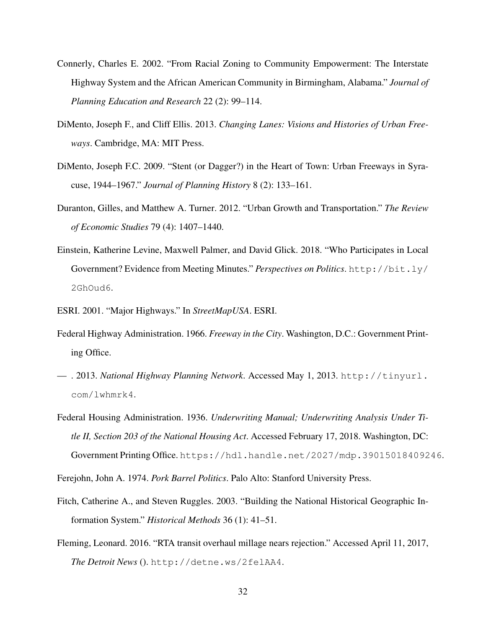- <span id="page-33-0"></span>Connerly, Charles E. 2002. "From Racial Zoning to Community Empowerment: The Interstate Highway System and the African American Community in Birmingham, Alabama." *Journal of Planning Education and Research* 22 (2): 99–114.
- <span id="page-33-4"></span>DiMento, Joseph F., and Cliff Ellis. 2013. *Changing Lanes: Visions and Histories of Urban Freeways*. Cambridge, MA: MIT Press.
- <span id="page-33-1"></span>DiMento, Joseph F.C. 2009. "Stent (or Dagger?) in the Heart of Town: Urban Freeways in Syracuse, 1944–1967." *Journal of Planning History* 8 (2): 133–161.
- <span id="page-33-9"></span>Duranton, Gilles, and Matthew A. Turner. 2012. "Urban Growth and Transportation." *The Review of Economic Studies* 79 (4): 1407–1440.
- <span id="page-33-7"></span>Einstein, Katherine Levine, Maxwell Palmer, and David Glick. 2018. "Who Participates in Local Government? Evidence from Meeting Minutes." *Perspectives on Politics*. [http://bit.ly/](http://bit.ly/2GhOud6) [2GhOud6](http://bit.ly/2GhOud6).
- <span id="page-33-10"></span>ESRI. 2001. "Major Highways." In *StreetMapUSA*. ESRI.
- <span id="page-33-5"></span>Federal Highway Administration. 1966. *Freeway in the City*. Washington, D.C.: Government Printing Office.
- <span id="page-33-6"></span>— . 2013. *National Highway Planning Network*. Accessed May 1, 2013. [http://tinyurl.](http://tinyurl.com/lwhmrk4) [com/lwhmrk4](http://tinyurl.com/lwhmrk4).
- <span id="page-33-8"></span>Federal Housing Administration. 1936. *Underwriting Manual; Underwriting Analysis Under Title II, Section 203 of the National Housing Act*. Accessed February 17, 2018. Washington, DC: Government Printing Office. <https://hdl.handle.net/2027/mdp.39015018409246>.
- Ferejohn, John A. 1974. *Pork Barrel Politics*. Palo Alto: Stanford University Press.
- <span id="page-33-2"></span>Fitch, Catherine A., and Steven Ruggles. 2003. "Building the National Historical Geographic Information System." *Historical Methods* 36 (1): 41–51.
- <span id="page-33-3"></span>Fleming, Leonard. 2016. "RTA transit overhaul millage nears rejection." Accessed April 11, 2017, *The Detroit News* (). <http://detne.ws/2felAA4>.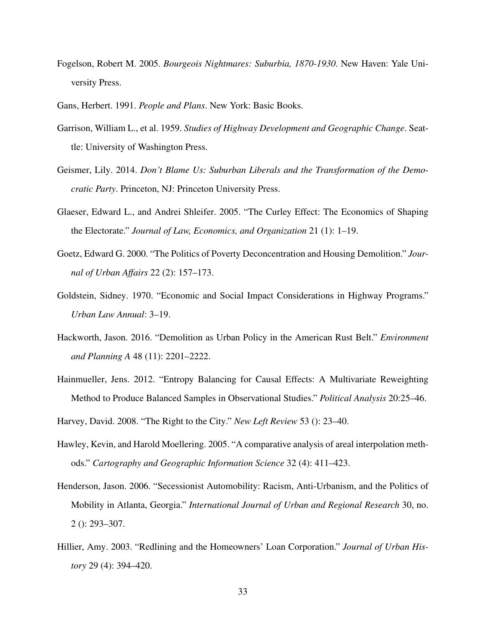- <span id="page-34-0"></span>Fogelson, Robert M. 2005. *Bourgeois Nightmares: Suburbia, 1870-1930*. New Haven: Yale University Press.
- <span id="page-34-1"></span>Gans, Herbert. 1991. *People and Plans*. New York: Basic Books.
- <span id="page-34-8"></span>Garrison, William L., et al. 1959. *Studies of Highway Development and Geographic Change*. Seattle: University of Washington Press.
- <span id="page-34-6"></span>Geismer, Lily. 2014. *Don't Blame Us: Suburban Liberals and the Transformation of the Democratic Party*. Princeton, NJ: Princeton University Press.
- <span id="page-34-9"></span>Glaeser, Edward L., and Andrei Shleifer. 2005. "The Curley Effect: The Economics of Shaping the Electorate." *Journal of Law, Economics, and Organization* 21 (1): 1–19.
- <span id="page-34-4"></span>Goetz, Edward G. 2000. "The Politics of Poverty Deconcentration and Housing Demolition." *Journal of Urban Affairs* 22 (2): 157–173.
- <span id="page-34-7"></span>Goldstein, Sidney. 1970. "Economic and Social Impact Considerations in Highway Programs." *Urban Law Annual*: 3–19.
- <span id="page-34-5"></span>Hackworth, Jason. 2016. "Demolition as Urban Policy in the American Rust Belt." *Environment and Planning A* 48 (11): 2201–2222.
- <span id="page-34-12"></span>Hainmueller, Jens. 2012. "Entropy Balancing for Causal Effects: A Multivariate Reweighting Method to Produce Balanced Samples in Observational Studies." *Political Analysis* 20:25–46.
- <span id="page-34-3"></span>Harvey, David. 2008. "The Right to the City." *New Left Review* 53 (): 23–40.
- <span id="page-34-10"></span>Hawley, Kevin, and Harold Moellering. 2005. "A comparative analysis of areal interpolation methods." *Cartography and Geographic Information Science* 32 (4): 411–423.
- <span id="page-34-2"></span>Henderson, Jason. 2006. "Secessionist Automobility: Racism, Anti-Urbanism, and the Politics of Mobility in Atlanta, Georgia." *International Journal of Urban and Regional Research* 30, no. 2 (): 293–307.
- <span id="page-34-11"></span>Hillier, Amy. 2003. "Redlining and the Homeowners' Loan Corporation." *Journal of Urban History* 29 (4): 394–420.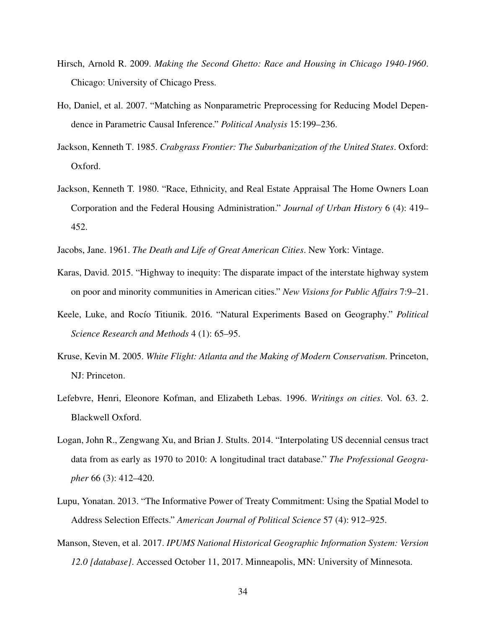- <span id="page-35-3"></span>Hirsch, Arnold R. 2009. *Making the Second Ghetto: Race and Housing in Chicago 1940-1960*. Chicago: University of Chicago Press.
- <span id="page-35-4"></span>Ho, Daniel, et al. 2007. "Matching as Nonparametric Preprocessing for Reducing Model Dependence in Parametric Causal Inference." *Political Analysis* 15:199–236.
- <span id="page-35-5"></span>Jackson, Kenneth T. 1985. *Crabgrass Frontier: The Suburbanization of the United States*. Oxford: Oxford.
- <span id="page-35-7"></span>Jackson, Kenneth T. 1980. "Race, Ethnicity, and Real Estate Appraisal The Home Owners Loan Corporation and the Federal Housing Administration." *Journal of Urban History* 6 (4): 419– 452.
- Jacobs, Jane. 1961. *The Death and Life of Great American Cities*. New York: Vintage.
- <span id="page-35-10"></span>Karas, David. 2015. "Highway to inequity: The disparate impact of the interstate highway system on poor and minority communities in American cities." *New Visions for Public Affairs* 7:9–21.
- <span id="page-35-8"></span>Keele, Luke, and Rocío Titiunik. 2016. "Natural Experiments Based on Geography." *Political Science Research and Methods* 4 (1): 65–95.
- <span id="page-35-1"></span>Kruse, Kevin M. 2005. *White Flight: Atlanta and the Making of Modern Conservatism*. Princeton, NJ: Princeton.
- <span id="page-35-0"></span>Lefebvre, Henri, Eleonore Kofman, and Elizabeth Lebas. 1996. *Writings on cities*. Vol. 63. 2. Blackwell Oxford.
- <span id="page-35-6"></span>Logan, John R., Zengwang Xu, and Brian J. Stults. 2014. "Interpolating US decennial census tract data from as early as 1970 to 2010: A longitudinal tract database." *The Professional Geographer* 66 (3): 412–420.
- <span id="page-35-9"></span>Lupu, Yonatan. 2013. "The Informative Power of Treaty Commitment: Using the Spatial Model to Address Selection Effects." *American Journal of Political Science* 57 (4): 912–925.
- <span id="page-35-2"></span>Manson, Steven, et al. 2017. *IPUMS National Historical Geographic Information System: Version 12.0 [database]*. Accessed October 11, 2017. Minneapolis, MN: University of Minnesota.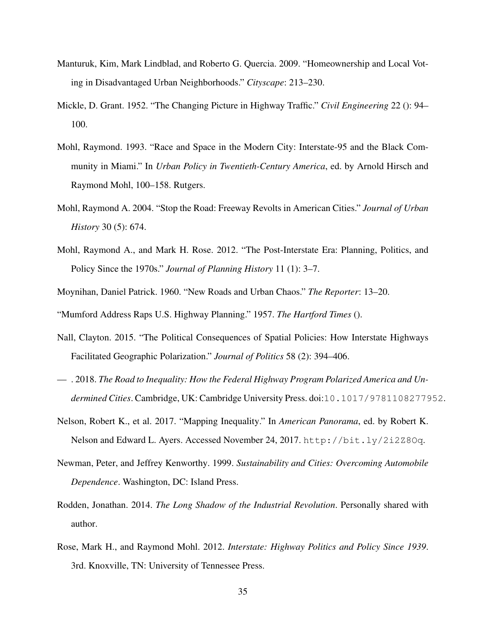- <span id="page-36-10"></span>Manturuk, Kim, Mark Lindblad, and Roberto G. Quercia. 2009. "Homeownership and Local Voting in Disadvantaged Urban Neighborhoods." *Cityscape*: 213–230.
- <span id="page-36-9"></span>Mickle, D. Grant. 1952. "The Changing Picture in Highway Traffic." *Civil Engineering* 22 (): 94– 100.
- <span id="page-36-0"></span>Mohl, Raymond. 1993. "Race and Space in the Modern City: Interstate-95 and the Black Community in Miami." In *Urban Policy in Twentieth-Century America*, ed. by Arnold Hirsch and Raymond Mohl, 100–158. Rutgers.
- <span id="page-36-1"></span>Mohl, Raymond A. 2004. "Stop the Road: Freeway Revolts in American Cities." *Journal of Urban History* 30 (5): 674.
- <span id="page-36-5"></span>Mohl, Raymond A., and Mark H. Rose. 2012. "The Post-Interstate Era: Planning, Politics, and Policy Since the 1970s." *Journal of Planning History* 11 (1): 3–7.
- <span id="page-36-6"></span>Moynihan, Daniel Patrick. 1960. "New Roads and Urban Chaos." *The Reporter*: 13–20. "Mumford Address Raps U.S. Highway Planning." 1957. *The Hartford Times* ().
- <span id="page-36-7"></span>Nall, Clayton. 2015. "The Political Consequences of Spatial Policies: How Interstate Highways Facilitated Geographic Polarization." *Journal of Politics* 58 (2): 394–406.
- <span id="page-36-8"></span>— . 2018. *The Road to Inequality: How the Federal Highway Program Polarized America and Undermined Cities*. Cambridge, UK: Cambridge University Press. doi:[10.1017/9781108277952](http://dx.doi.org/10.1017/9781108277952).
- <span id="page-36-4"></span>Nelson, Robert K., et al. 2017. "Mapping Inequality." In *American Panorama*, ed. by Robert K. Nelson and Edward L. Ayers. Accessed November 24, 2017. <http://bit.ly/2i2Z8Oq>.
- <span id="page-36-2"></span>Newman, Peter, and Jeffrey Kenworthy. 1999. *Sustainability and Cities: Overcoming Automobile Dependence*. Washington, DC: Island Press.
- <span id="page-36-11"></span>Rodden, Jonathan. 2014. *The Long Shadow of the Industrial Revolution*. Personally shared with author.
- <span id="page-36-3"></span>Rose, Mark H., and Raymond Mohl. 2012. *Interstate: Highway Politics and Policy Since 1939*. 3rd. Knoxville, TN: University of Tennessee Press.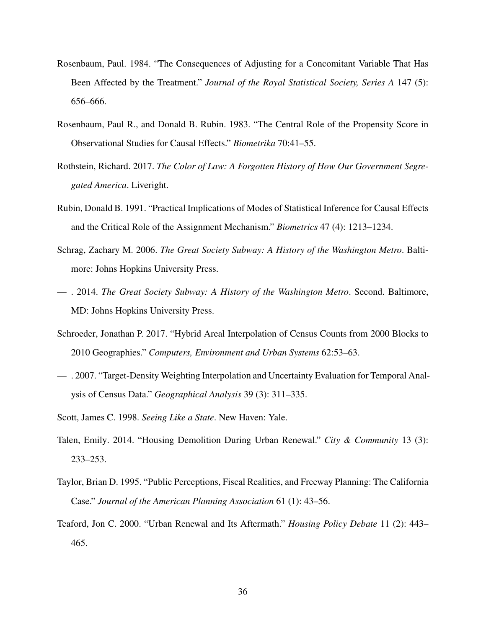- <span id="page-37-11"></span>Rosenbaum, Paul. 1984. "The Consequences of Adjusting for a Concomitant Variable That Has Been Affected by the Treatment." *Journal of the Royal Statistical Society, Series A* 147 (5): 656–666.
- <span id="page-37-10"></span>Rosenbaum, Paul R., and Donald B. Rubin. 1983. "The Central Role of the Propensity Score in Observational Studies for Causal Effects." *Biometrika* 70:41–55.
- <span id="page-37-9"></span>Rothstein, Richard. 2017. *The Color of Law: A Forgotten History of How Our Government Segregated America*. Liveright.
- <span id="page-37-5"></span>Rubin, Donald B. 1991. "Practical Implications of Modes of Statistical Inference for Causal Effects and the Critical Role of the Assignment Mechanism." *Biometrics* 47 (4): 1213–1234.
- <span id="page-37-2"></span>Schrag, Zachary M. 2006. *The Great Society Subway: A History of the Washington Metro*. Baltimore: Johns Hopkins University Press.
- <span id="page-37-4"></span>— . 2014. *The Great Society Subway: A History of the Washington Metro*. Second. Baltimore, MD: Johns Hopkins University Press.
- <span id="page-37-7"></span>Schroeder, Jonathan P. 2017. "Hybrid Areal Interpolation of Census Counts from 2000 Blocks to 2010 Geographies." *Computers, Environment and Urban Systems* 62:53–63.
- <span id="page-37-6"></span>— . 2007. "Target-Density Weighting Interpolation and Uncertainty Evaluation for Temporal Analysis of Census Data." *Geographical Analysis* 39 (3): 311–335.
- <span id="page-37-0"></span>Scott, James C. 1998. *Seeing Like a State*. New Haven: Yale.
- <span id="page-37-1"></span>Talen, Emily. 2014. "Housing Demolition During Urban Renewal." *City & Community* 13 (3): 233–253.
- <span id="page-37-8"></span>Taylor, Brian D. 1995. "Public Perceptions, Fiscal Realities, and Freeway Planning: The California Case." *Journal of the American Planning Association* 61 (1): 43–56.
- <span id="page-37-3"></span>Teaford, Jon C. 2000. "Urban Renewal and Its Aftermath." *Housing Policy Debate* 11 (2): 443– 465.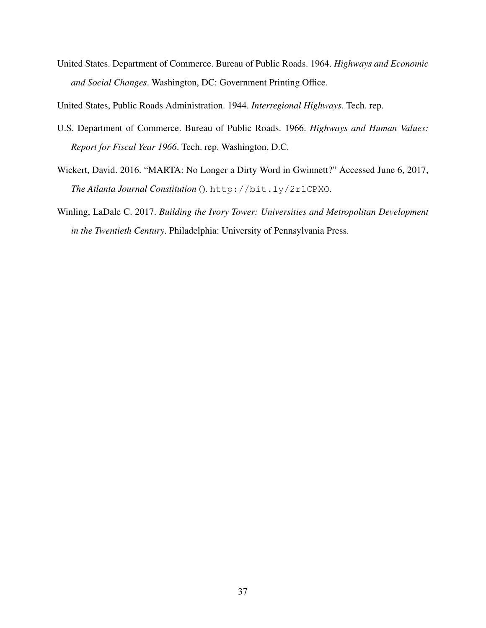<span id="page-38-2"></span>United States. Department of Commerce. Bureau of Public Roads. 1964. *Highways and Economic and Social Changes*. Washington, DC: Government Printing Office.

<span id="page-38-4"></span>United States, Public Roads Administration. 1944. *Interregional Highways*. Tech. rep.

- <span id="page-38-3"></span>U.S. Department of Commerce. Bureau of Public Roads. 1966. *Highways and Human Values: Report for Fiscal Year 1966*. Tech. rep. Washington, D.C.
- <span id="page-38-0"></span>Wickert, David. 2016. "MARTA: No Longer a Dirty Word in Gwinnett?" Accessed June 6, 2017, *The Atlanta Journal Constitution* (). <http://bit.ly/2r1CPXO>.
- <span id="page-38-1"></span>Winling, LaDale C. 2017. *Building the Ivory Tower: Universities and Metropolitan Development in the Twentieth Century*. Philadelphia: University of Pennsylvania Press.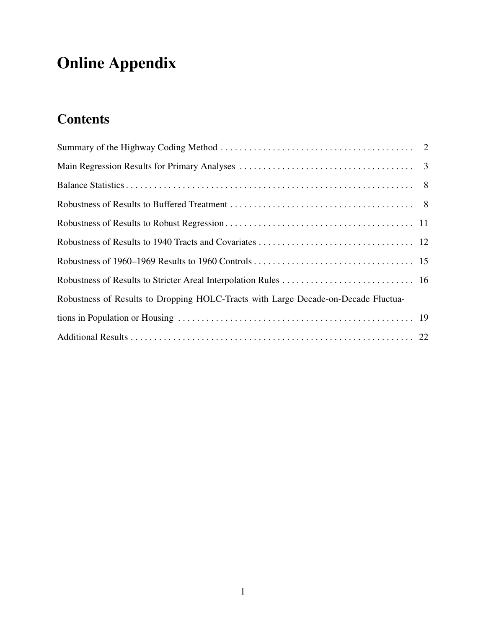# <span id="page-39-0"></span>Online Appendix

# **Contents**

| Robustness of Results to Dropping HOLC-Tracts with Large Decade-on-Decade Fluctua- |  |
|------------------------------------------------------------------------------------|--|
|                                                                                    |  |
|                                                                                    |  |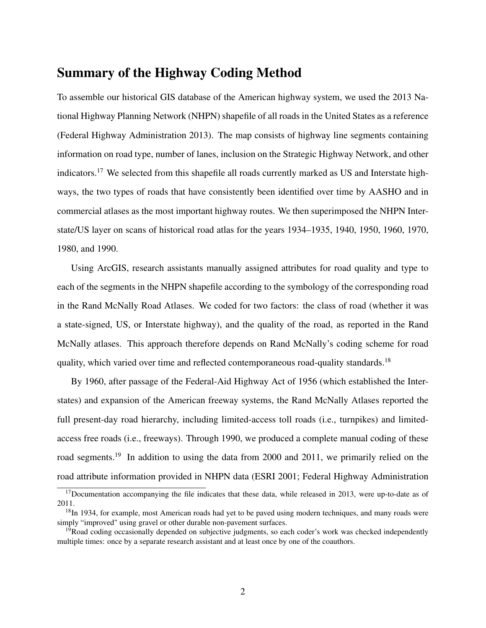## Summary of the Highway Coding Method

To assemble our historical GIS database of the American highway system, we used the 2013 National Highway Planning Network (NHPN) shapefile of all roads in the United States as a reference (Federal Highway Administration [2013\)](#page-33-6). The map consists of highway line segments containing information on road type, number of lanes, inclusion on the Strategic Highway Network, and other indicators.<sup>[17](#page-40-0)</sup> We selected from this shapefile all roads currently marked as US and Interstate highways, the two types of roads that have consistently been identified over time by AASHO and in commercial atlases as the most important highway routes. We then superimposed the NHPN Interstate/US layer on scans of historical road atlas for the years 1934–1935, 1940, 1950, 1960, 1970, 1980, and 1990.

Using ArcGIS, research assistants manually assigned attributes for road quality and type to each of the segments in the NHPN shapefile according to the symbology of the corresponding road in the Rand McNally Road Atlases. We coded for two factors: the class of road (whether it was a state-signed, US, or Interstate highway), and the quality of the road, as reported in the Rand McNally atlases. This approach therefore depends on Rand McNally's coding scheme for road quality, which varied over time and reflected contemporaneous road-quality standards.<sup>[18](#page-40-1)</sup>

By 1960, after passage of the Federal-Aid Highway Act of 1956 (which established the Interstates) and expansion of the American freeway systems, the Rand McNally Atlases reported the full present-day road hierarchy, including limited-access toll roads (i.e., turnpikes) and limitedaccess free roads (i.e., freeways). Through 1990, we produced a complete manual coding of these road segments.<sup>[19](#page-40-2)</sup> In addition to using the data from 2000 and 2011, we primarily relied on the road attribute information provided in NHPN data (ESRI [2001;](#page-33-10) Federal Highway Administration

<span id="page-40-0"></span> $17$ Documentation accompanying the file indicates that these data, while released in 2013, were up-to-date as of 2011.

<span id="page-40-1"></span><sup>&</sup>lt;sup>18</sup>In 1934, for example, most American roads had yet to be paved using modern techniques, and many roads were simply "improved" using gravel or other durable non-pavement surfaces.

<span id="page-40-2"></span> $19$ Road coding occasionally depended on subjective judgments, so each coder's work was checked independently multiple times: once by a separate research assistant and at least once by one of the coauthors.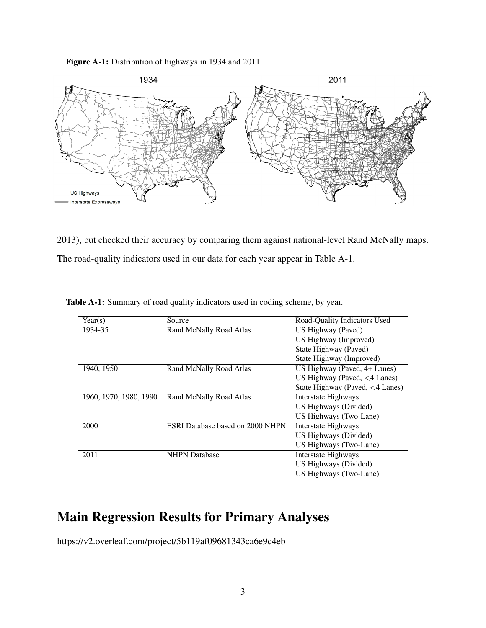<span id="page-41-0"></span>Figure A-1: Distribution of highways in 1934 and 2011



[2013\)](#page-33-6), but checked their accuracy by comparing them against national-level Rand McNally maps. The road-quality indicators used in our data for each year appear in Table [A-1.](#page-41-1)

| Year(s)                | Source                                  | Road-Quality Indicators Used          |
|------------------------|-----------------------------------------|---------------------------------------|
| 1934-35                | Rand McNally Road Atlas                 | US Highway (Paved)                    |
|                        |                                         | US Highway (Improved)                 |
|                        |                                         | State Highway (Paved)                 |
|                        |                                         | State Highway (Improved)              |
| 1940, 1950             | Rand McNally Road Atlas                 | US Highway (Paved, 4+ Lanes)          |
|                        |                                         | US Highway (Paved, $\langle 4$ Lanes) |
|                        |                                         | State Highway (Paved, <4 Lanes)       |
| 1960, 1970, 1980, 1990 | Rand McNally Road Atlas                 | Interstate Highways                   |
|                        |                                         | US Highways (Divided)                 |
|                        |                                         | US Highways (Two-Lane)                |
| 2000                   | <b>ESRI Database based on 2000 NHPN</b> | <b>Interstate Highways</b>            |
|                        |                                         | US Highways (Divided)                 |
|                        |                                         | US Highways (Two-Lane)                |
| 2011                   | <b>NHPN</b> Database                    | Interstate Highways                   |
|                        |                                         | US Highways (Divided)                 |
|                        |                                         | US Highways (Two-Lane)                |

<span id="page-41-1"></span>Table A-1: Summary of road quality indicators used in coding scheme, by year.

## Main Regression Results for Primary Analyses

https://v2.overleaf.com/project/5b119af09681343ca6e9c4eb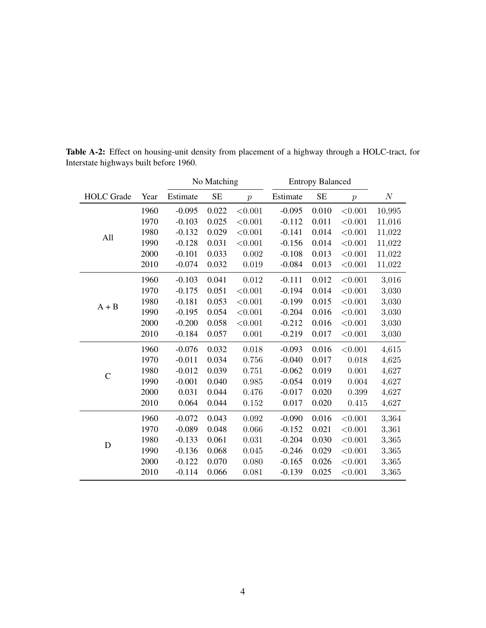|                   |      |          | No Matching |                | <b>Entropy Balanced</b> |           |                  |          |
|-------------------|------|----------|-------------|----------------|-------------------------|-----------|------------------|----------|
| <b>HOLC</b> Grade | Year | Estimate | <b>SE</b>   | $\overline{p}$ | Estimate                | <b>SE</b> | $\boldsymbol{p}$ | $\cal N$ |
|                   | 1960 | $-0.095$ | 0.022       | < 0.001        | $-0.095$                | 0.010     | < 0.001          | 10,995   |
|                   | 1970 | $-0.103$ | 0.025       | < 0.001        | $-0.112$                | 0.011     | < 0.001          | 11,016   |
| All               | 1980 | $-0.132$ | 0.029       | < 0.001        | $-0.141$                | 0.014     | < 0.001          | 11,022   |
|                   | 1990 | $-0.128$ | 0.031       | < 0.001        | $-0.156$                | 0.014     | < 0.001          | 11,022   |
|                   | 2000 | $-0.101$ | 0.033       | 0.002          | $-0.108$                | 0.013     | < 0.001          | 11,022   |
|                   | 2010 | $-0.074$ | 0.032       | 0.019          | $-0.084$                | 0.013     | < 0.001          | 11,022   |
|                   | 1960 | $-0.103$ | 0.041       | 0.012          | $-0.111$                | 0.012     | < 0.001          | 3,016    |
|                   | 1970 | $-0.175$ | 0.051       | < 0.001        | $-0.194$                | 0.014     | < 0.001          | 3,030    |
| $A + B$           | 1980 | $-0.181$ | 0.053       | < 0.001        | $-0.199$                | 0.015     | < 0.001          | 3,030    |
|                   | 1990 | $-0.195$ | 0.054       | < 0.001        | $-0.204$                | 0.016     | < 0.001          | 3,030    |
|                   | 2000 | $-0.200$ | 0.058       | < 0.001        | $-0.212$                | 0.016     | < 0.001          | 3,030    |
|                   | 2010 | $-0.184$ | 0.057       | 0.001          | $-0.219$                | 0.017     | < 0.001          | 3,030    |
|                   | 1960 | $-0.076$ | 0.032       | 0.018          | $-0.093$                | 0.016     | < 0.001          | 4,615    |
|                   | 1970 | $-0.011$ | 0.034       | 0.756          | $-0.040$                | 0.017     | 0.018            | 4,625    |
| $\overline{C}$    | 1980 | $-0.012$ | 0.039       | 0.751          | $-0.062$                | 0.019     | 0.001            | 4,627    |
|                   | 1990 | $-0.001$ | 0.040       | 0.985          | $-0.054$                | 0.019     | 0.004            | 4,627    |
|                   | 2000 | 0.031    | 0.044       | 0.476          | $-0.017$                | 0.020     | 0.399            | 4,627    |
|                   | 2010 | 0.064    | 0.044       | 0.152          | 0.017                   | 0.020     | 0.415            | 4,627    |
|                   | 1960 | $-0.072$ | 0.043       | 0.092          | $-0.090$                | 0.016     | < 0.001          | 3,364    |
|                   | 1970 | $-0.089$ | 0.048       | 0.066          | $-0.152$                | 0.021     | < 0.001          | 3,361    |
| D                 | 1980 | $-0.133$ | 0.061       | 0.031          | $-0.204$                | 0.030     | < 0.001          | 3,365    |
|                   | 1990 | $-0.136$ | 0.068       | 0.045          | $-0.246$                | 0.029     | < 0.001          | 3,365    |
|                   | 2000 | $-0.122$ | 0.070       | 0.080          | $-0.165$                | 0.026     | < 0.001          | 3,365    |
|                   | 2010 | $-0.114$ | 0.066       | 0.081          | $-0.139$                | 0.025     | < 0.001          | 3,365    |

Table A-2: Effect on housing-unit density from placement of a highway through a HOLC-tract, for Interstate highways built before 1960.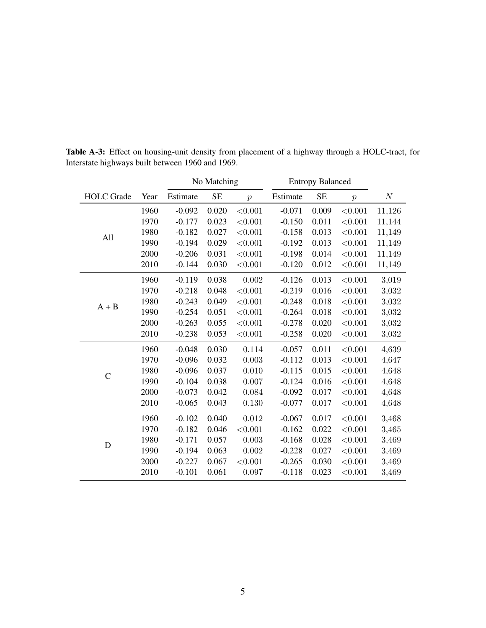|                   |      |          | No Matching |                  | <b>Entropy Balanced</b> |           |                  |          |
|-------------------|------|----------|-------------|------------------|-------------------------|-----------|------------------|----------|
| <b>HOLC</b> Grade | Year | Estimate | <b>SE</b>   | $\boldsymbol{p}$ | Estimate                | <b>SE</b> | $\boldsymbol{p}$ | $\cal N$ |
|                   | 1960 | $-0.092$ | 0.020       | < 0.001          | $-0.071$                | 0.009     | < 0.001          | 11,126   |
|                   | 1970 | $-0.177$ | 0.023       | < 0.001          | $-0.150$                | 0.011     | < 0.001          | 11,144   |
| All               | 1980 | $-0.182$ | 0.027       | < 0.001          | $-0.158$                | 0.013     | < 0.001          | 11,149   |
|                   | 1990 | $-0.194$ | 0.029       | < 0.001          | $-0.192$                | 0.013     | < 0.001          | 11,149   |
|                   | 2000 | $-0.206$ | 0.031       | < 0.001          | $-0.198$                | 0.014     | < 0.001          | 11,149   |
|                   | 2010 | $-0.144$ | 0.030       | < 0.001          | $-0.120$                | 0.012     | < 0.001          | 11,149   |
|                   | 1960 | $-0.119$ | 0.038       | 0.002            | $-0.126$                | 0.013     | < 0.001          | 3,019    |
|                   | 1970 | $-0.218$ | 0.048       | < 0.001          | $-0.219$                | 0.016     | $<\!\!0.001$     | 3,032    |
| $A + B$           | 1980 | $-0.243$ | 0.049       | < 0.001          | $-0.248$                | 0.018     | < 0.001          | 3,032    |
|                   | 1990 | $-0.254$ | 0.051       | < 0.001          | $-0.264$                | 0.018     | < 0.001          | 3,032    |
|                   | 2000 | $-0.263$ | 0.055       | < 0.001          | $-0.278$                | 0.020     | < 0.001          | 3,032    |
|                   | 2010 | $-0.238$ | 0.053       | < 0.001          | $-0.258$                | 0.020     | < 0.001          | 3,032    |
|                   | 1960 | $-0.048$ | 0.030       | 0.114            | $-0.057$                | 0.011     | < 0.001          | 4,639    |
|                   | 1970 | $-0.096$ | 0.032       | 0.003            | $-0.112$                | 0.013     | < 0.001          | 4,647    |
| $\mathsf{C}$      | 1980 | $-0.096$ | 0.037       | 0.010            | $-0.115$                | 0.015     | < 0.001          | 4,648    |
|                   | 1990 | $-0.104$ | 0.038       | 0.007            | $-0.124$                | 0.016     | < 0.001          | 4,648    |
|                   | 2000 | $-0.073$ | 0.042       | 0.084            | $-0.092$                | 0.017     | < 0.001          | 4,648    |
|                   | 2010 | $-0.065$ | 0.043       | 0.130            | $-0.077$                | 0.017     | < 0.001          | 4,648    |
| D                 | 1960 | $-0.102$ | 0.040       | 0.012            | $-0.067$                | 0.017     | < 0.001          | 3,468    |
|                   | 1970 | $-0.182$ | 0.046       | < 0.001          | $-0.162$                | 0.022     | < 0.001          | 3,465    |
|                   | 1980 | $-0.171$ | 0.057       | 0.003            | $-0.168$                | 0.028     | < 0.001          | 3,469    |
|                   | 1990 | $-0.194$ | 0.063       | 0.002            | $-0.228$                | 0.027     | < 0.001          | 3,469    |
|                   | 2000 | $-0.227$ | 0.067       | < 0.001          | $-0.265$                | 0.030     | < 0.001          | 3,469    |
|                   | 2010 | $-0.101$ | 0.061       | 0.097            | $-0.118$                | 0.023     | < 0.001          | 3,469    |

Table A-3: Effect on housing-unit density from placement of a highway through a HOLC-tract, for Interstate highways built between 1960 and 1969.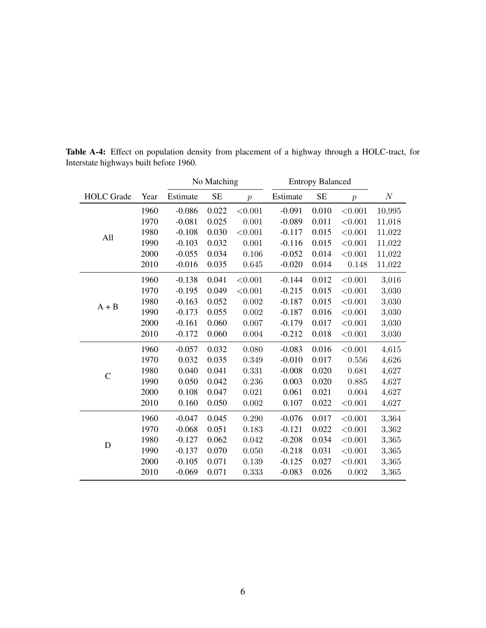|                   |      |          | No Matching |                |          | <b>Entropy Balanced</b> |                  |          |
|-------------------|------|----------|-------------|----------------|----------|-------------------------|------------------|----------|
| <b>HOLC</b> Grade | Year | Estimate | <b>SE</b>   | $\overline{p}$ | Estimate | <b>SE</b>               | $\boldsymbol{p}$ | $\cal N$ |
|                   | 1960 | $-0.086$ | 0.022       | < 0.001        | $-0.091$ | 0.010                   | < 0.001          | 10,995   |
|                   | 1970 | $-0.081$ | 0.025       | 0.001          | $-0.089$ | 0.011                   | < 0.001          | 11,018   |
| All               | 1980 | $-0.108$ | 0.030       | < 0.001        | $-0.117$ | 0.015                   | < 0.001          | 11,022   |
|                   | 1990 | $-0.103$ | 0.032       | 0.001          | $-0.116$ | 0.015                   | < 0.001          | 11,022   |
|                   | 2000 | $-0.055$ | 0.034       | 0.106          | $-0.052$ | 0.014                   | < 0.001          | 11,022   |
|                   | 2010 | $-0.016$ | 0.035       | 0.645          | $-0.020$ | 0.014                   | 0.148            | 11,022   |
|                   | 1960 | $-0.138$ | 0.041       | < 0.001        | $-0.144$ | 0.012                   | < 0.001          | 3,016    |
|                   | 1970 | $-0.195$ | 0.049       | < 0.001        | $-0.215$ | 0.015                   | < 0.001          | 3,030    |
| $A + B$           | 1980 | $-0.163$ | 0.052       | 0.002          | $-0.187$ | 0.015                   | < 0.001          | 3,030    |
|                   | 1990 | $-0.173$ | 0.055       | 0.002          | $-0.187$ | 0.016                   | < 0.001          | 3,030    |
|                   | 2000 | $-0.161$ | 0.060       | 0.007          | $-0.179$ | 0.017                   | < 0.001          | 3,030    |
|                   | 2010 | $-0.172$ | 0.060       | 0.004          | $-0.212$ | 0.018                   | < 0.001          | 3,030    |
|                   | 1960 | $-0.057$ | 0.032       | 0.080          | $-0.083$ | 0.016                   | < 0.001          | 4,615    |
|                   | 1970 | 0.032    | 0.035       | 0.349          | $-0.010$ | 0.017                   | 0.556            | 4,626    |
| $\overline{C}$    | 1980 | 0.040    | 0.041       | 0.331          | $-0.008$ | 0.020                   | 0.681            | 4,627    |
|                   | 1990 | 0.050    | 0.042       | 0.236          | 0.003    | 0.020                   | 0.885            | 4,627    |
|                   | 2000 | 0.108    | 0.047       | 0.021          | 0.061    | 0.021                   | 0.004            | 4,627    |
|                   | 2010 | 0.160    | 0.050       | 0.002          | 0.107    | 0.022                   | < 0.001          | 4,627    |
|                   | 1960 | $-0.047$ | 0.045       | 0.290          | $-0.076$ | 0.017                   | < 0.001          | 3,364    |
|                   | 1970 | $-0.068$ | 0.051       | 0.183          | $-0.121$ | 0.022                   | < 0.001          | 3,362    |
| D                 | 1980 | $-0.127$ | 0.062       | 0.042          | $-0.208$ | 0.034                   | < 0.001          | 3,365    |
|                   | 1990 | $-0.137$ | 0.070       | 0.050          | $-0.218$ | 0.031                   | < 0.001          | 3,365    |
|                   | 2000 | $-0.105$ | 0.071       | 0.139          | $-0.125$ | 0.027                   | < 0.001          | 3,365    |
|                   | 2010 | $-0.069$ | 0.071       | 0.333          | $-0.083$ | 0.026                   | 0.002            | 3,365    |

Table A-4: Effect on population density from placement of a highway through a HOLC-tract, for Interstate highways built before 1960.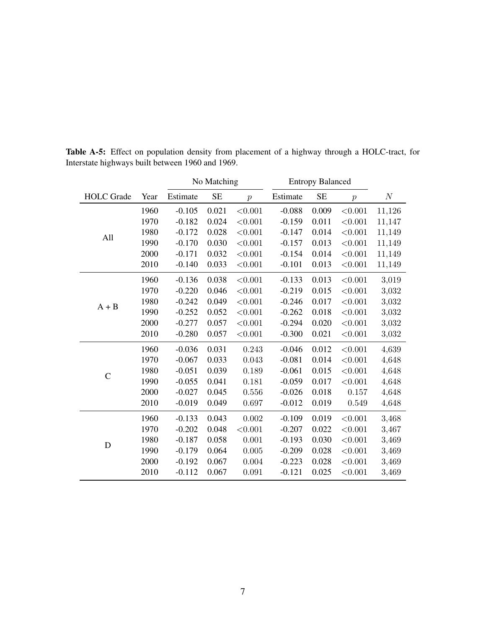|                   |      |          | No Matching |                  | <b>Entropy Balanced</b> |           |                  |          |
|-------------------|------|----------|-------------|------------------|-------------------------|-----------|------------------|----------|
| <b>HOLC</b> Grade | Year | Estimate | <b>SE</b>   | $\boldsymbol{p}$ | Estimate                | <b>SE</b> | $\boldsymbol{p}$ | $\cal N$ |
|                   | 1960 | $-0.105$ | 0.021       | < 0.001          | $-0.088$                | 0.009     | < 0.001          | 11,126   |
|                   | 1970 | $-0.182$ | 0.024       | < 0.001          | $-0.159$                | 0.011     | < 0.001          | 11,147   |
|                   | 1980 | $-0.172$ | 0.028       | < 0.001          | $-0.147$                | 0.014     | < 0.001          | 11,149   |
| All               | 1990 | $-0.170$ | 0.030       | < 0.001          | $-0.157$                | 0.013     | < 0.001          | 11,149   |
|                   | 2000 | $-0.171$ | 0.032       | < 0.001          | $-0.154$                | 0.014     | < 0.001          | 11,149   |
|                   | 2010 | $-0.140$ | 0.033       | < 0.001          | $-0.101$                | 0.013     | < 0.001          | 11,149   |
|                   | 1960 | $-0.136$ | 0.038       | < 0.001          | $-0.133$                | 0.013     | < 0.001          | 3,019    |
|                   | 1970 | $-0.220$ | 0.046       | < 0.001          | $-0.219$                | 0.015     | $<\!\!0.001$     | 3,032    |
| $A + B$           | 1980 | $-0.242$ | 0.049       | < 0.001          | $-0.246$                | 0.017     | < 0.001          | 3,032    |
|                   | 1990 | $-0.252$ | 0.052       | < 0.001          | $-0.262$                | 0.018     | < 0.001          | 3,032    |
|                   | 2000 | $-0.277$ | 0.057       | < 0.001          | $-0.294$                | 0.020     | < 0.001          | 3,032    |
|                   | 2010 | $-0.280$ | 0.057       | < 0.001          | $-0.300$                | 0.021     | < 0.001          | 3,032    |
|                   | 1960 | $-0.036$ | 0.031       | 0.243            | $-0.046$                | 0.012     | < 0.001          | 4,639    |
|                   | 1970 | $-0.067$ | 0.033       | 0.043            | $-0.081$                | 0.014     | < 0.001          | 4,648    |
| $\overline{C}$    | 1980 | $-0.051$ | 0.039       | 0.189            | $-0.061$                | 0.015     | < 0.001          | 4,648    |
|                   | 1990 | $-0.055$ | 0.041       | 0.181            | $-0.059$                | 0.017     | < 0.001          | 4,648    |
|                   | 2000 | $-0.027$ | 0.045       | 0.556            | $-0.026$                | 0.018     | 0.157            | 4,648    |
|                   | 2010 | $-0.019$ | 0.049       | 0.697            | $-0.012$                | 0.019     | 0.549            | 4,648    |
| D                 | 1960 | $-0.133$ | 0.043       | 0.002            | $-0.109$                | 0.019     | < 0.001          | 3,468    |
|                   | 1970 | $-0.202$ | 0.048       | < 0.001          | $-0.207$                | 0.022     | < 0.001          | 3,467    |
|                   | 1980 | $-0.187$ | 0.058       | 0.001            | $-0.193$                | 0.030     | < 0.001          | 3,469    |
|                   | 1990 | $-0.179$ | 0.064       | 0.005            | $-0.209$                | 0.028     | < 0.001          | 3,469    |
|                   | 2000 | $-0.192$ | 0.067       | 0.004            | $-0.223$                | 0.028     | < 0.001          | 3,469    |
|                   | 2010 | $-0.112$ | 0.067       | 0.091            | $-0.121$                | 0.025     | < 0.001          | 3,469    |

<span id="page-45-0"></span>Table A-5: Effect on population density from placement of a highway through a HOLC-tract, for Interstate highways built between 1960 and 1969.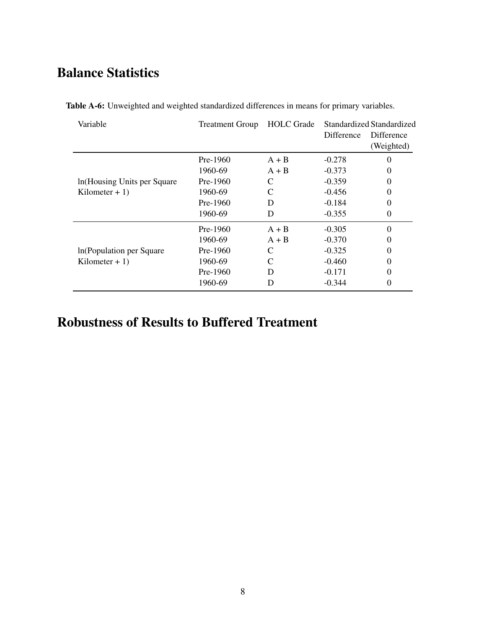# Balance Statistics

| Variable                     | <b>Treatment Group</b> | <b>HOLC</b> Grade | <b>Difference</b> | Standardized Standardized<br>Difference<br>(Weighted) |
|------------------------------|------------------------|-------------------|-------------------|-------------------------------------------------------|
|                              | $Pre-1960$             | $A + B$           | $-0.278$          | $\theta$                                              |
|                              | 1960-69                | $A + B$           | $-0.373$          | $\theta$                                              |
| In (Housing Units per Square | $Pre-1960$             |                   | $-0.359$          | $\Omega$                                              |
| Kilometer + $1$ )            | 1960-69                |                   | $-0.456$          | $\Omega$                                              |
|                              | $Pre-1960$             | D                 | $-0.184$          | $\theta$                                              |
|                              | 1960-69                | D                 | $-0.355$          | $\Omega$                                              |
|                              | $Pre-1960$             | $A + B$           | $-0.305$          | $\Omega$                                              |
|                              | 1960-69                | $A + B$           | $-0.370$          | $\theta$                                              |
| In (Population per Square)   | $Pre-1960$             | C                 | $-0.325$          | $\theta$                                              |
| Kilometer + $1$ )            | 1960-69                | $\mathsf{C}$      | $-0.460$          | $\theta$                                              |
|                              | $Pre-1960$             | D                 | $-0.171$          | $\theta$                                              |
|                              | 1960-69                | D                 | $-0.344$          | $\Omega$                                              |

<span id="page-46-0"></span>Table A-6: Unweighted and weighted standardized differences in means for primary variables.

# Robustness of Results to Buffered Treatment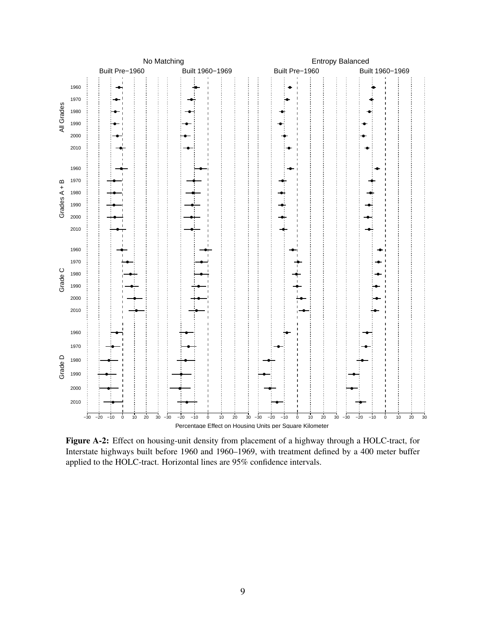<span id="page-47-0"></span>

Figure A-2: Effect on housing-unit density from placement of a highway through a HOLC-tract, for Interstate highways built before 1960 and 1960–1969, with treatment defined by a 400 meter buffer applied to the HOLC-tract. Horizontal lines are 95% confidence intervals.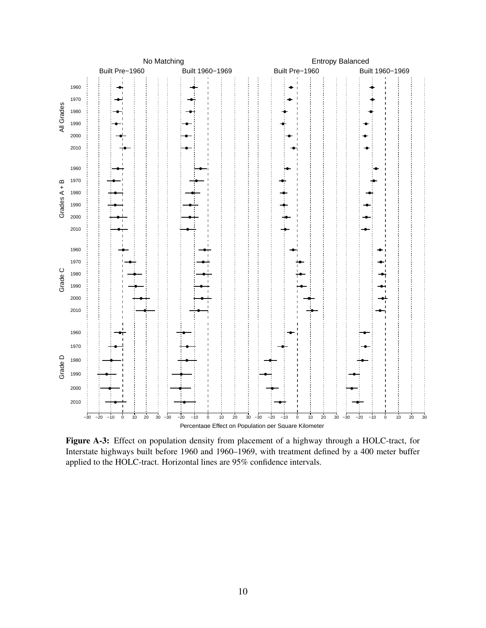<span id="page-48-0"></span>

Figure A-3: Effect on population density from placement of a highway through a HOLC-tract, for Interstate highways built before 1960 and 1960–1969, with treatment defined by a 400 meter buffer applied to the HOLC-tract. Horizontal lines are 95% confidence intervals.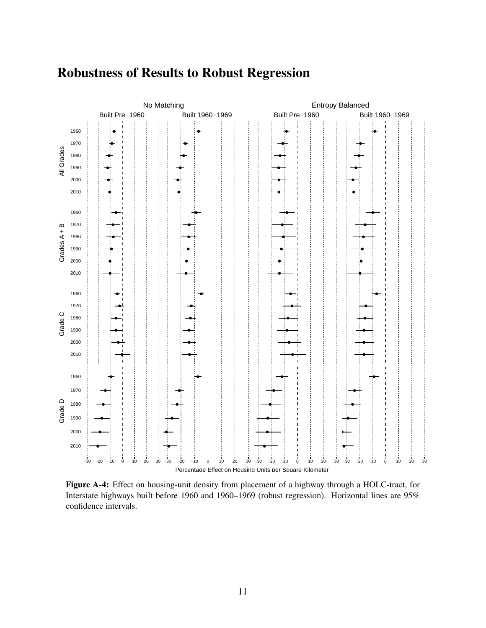# Robustness of Results to Robust Regression



Figure A-4: Effect on housing-unit density from placement of a highway through a HOLC-tract, for Interstate highways built before 1960 and 1960–1969 (robust regression). Horizontal lines are 95% confidence intervals.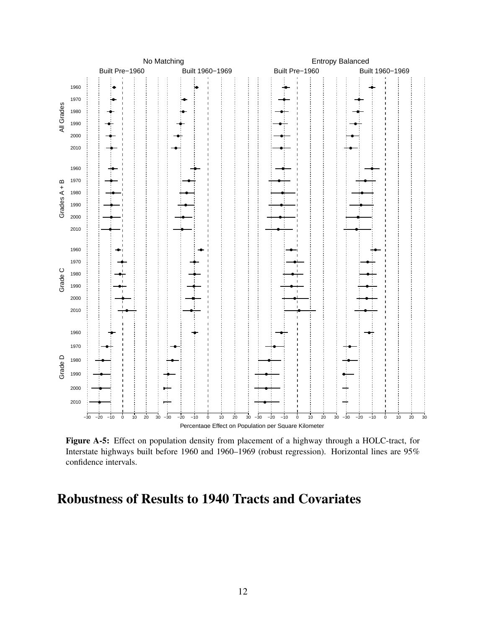<span id="page-50-0"></span>

Figure A-5: Effect on population density from placement of a highway through a HOLC-tract, for Interstate highways built before 1960 and 1960–1969 (robust regression). Horizontal lines are 95% confidence intervals.

## Robustness of Results to 1940 Tracts and Covariates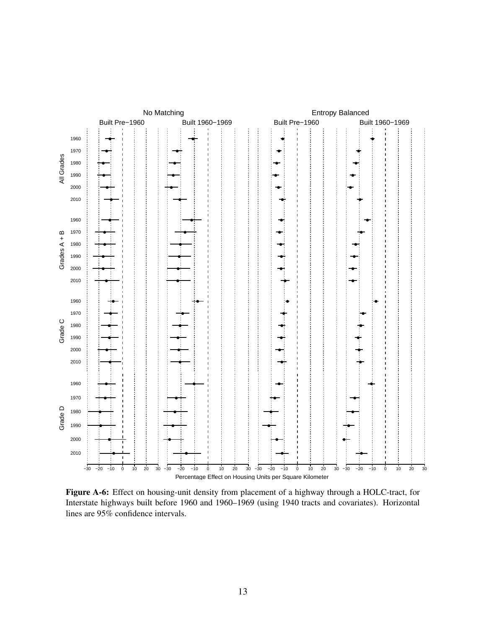

Figure A-6: Effect on housing-unit density from placement of a highway through a HOLC-tract, for Interstate highways built before 1960 and 1960–1969 (using 1940 tracts and covariates). Horizontal lines are 95% confidence intervals.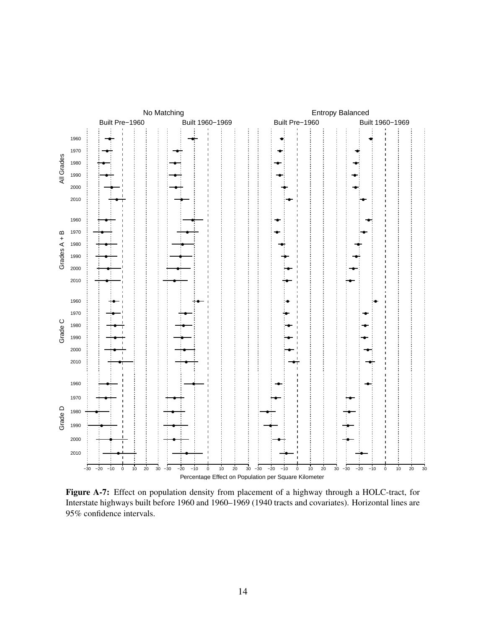<span id="page-52-0"></span>

Figure A-7: Effect on population density from placement of a highway through a HOLC-tract, for Interstate highways built before 1960 and 1960–1969 (1940 tracts and covariates). Horizontal lines are 95% confidence intervals.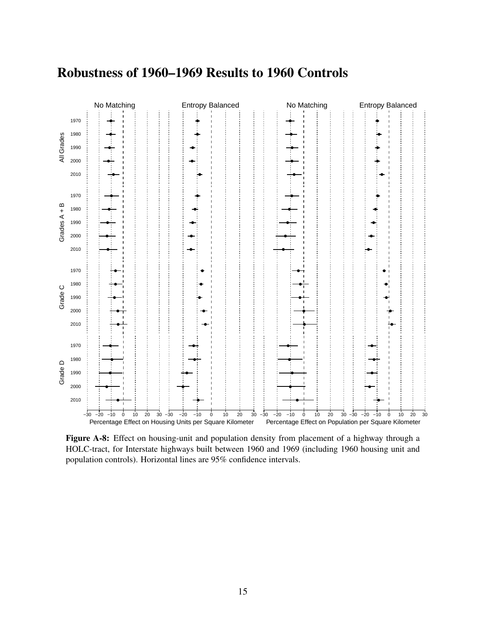# Robustness of 1960–1969 Results to 1960 Controls

<span id="page-53-0"></span>

Figure A-8: Effect on housing-unit and population density from placement of a highway through a HOLC-tract, for Interstate highways built between 1960 and 1969 (including 1960 housing unit and population controls). Horizontal lines are 95% confidence intervals.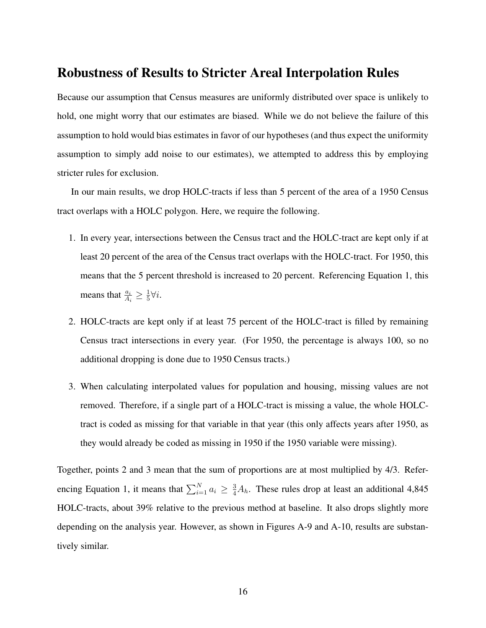### Robustness of Results to Stricter Areal Interpolation Rules

Because our assumption that Census measures are uniformly distributed over space is unlikely to hold, one might worry that our estimates are biased. While we do not believe the failure of this assumption to hold would bias estimates in favor of our hypotheses (and thus expect the uniformity assumption to simply add noise to our estimates), we attempted to address this by employing stricter rules for exclusion.

In our main results, we drop HOLC-tracts if less than 5 percent of the area of a 1950 Census tract overlaps with a HOLC polygon. Here, we require the following.

- 1. In every year, intersections between the Census tract and the HOLC-tract are kept only if at least 20 percent of the area of the Census tract overlaps with the HOLC-tract. For 1950, this means that the 5 percent threshold is increased to 20 percent. Referencing Equation 1, this means that  $\frac{a_i}{A_i} \geq \frac{1}{5}$  $\frac{1}{5}\forall i$ .
- 2. HOLC-tracts are kept only if at least 75 percent of the HOLC-tract is filled by remaining Census tract intersections in every year. (For 1950, the percentage is always 100, so no additional dropping is done due to 1950 Census tracts.)
- 3. When calculating interpolated values for population and housing, missing values are not removed. Therefore, if a single part of a HOLC-tract is missing a value, the whole HOLCtract is coded as missing for that variable in that year (this only affects years after 1950, as they would already be coded as missing in 1950 if the 1950 variable were missing).

Together, points 2 and 3 mean that the sum of proportions are at most multiplied by 4/3. Referencing Equation 1, it means that  $\sum_{i=1}^{N} a_i \geq \frac{3}{4} A_h$ . These rules drop at least an additional 4,845 HOLC-tracts, about 39% relative to the previous method at baseline. It also drops slightly more depending on the analysis year. However, as shown in Figures [A-9](#page-55-0) and [A-10,](#page-56-0) results are substantively similar.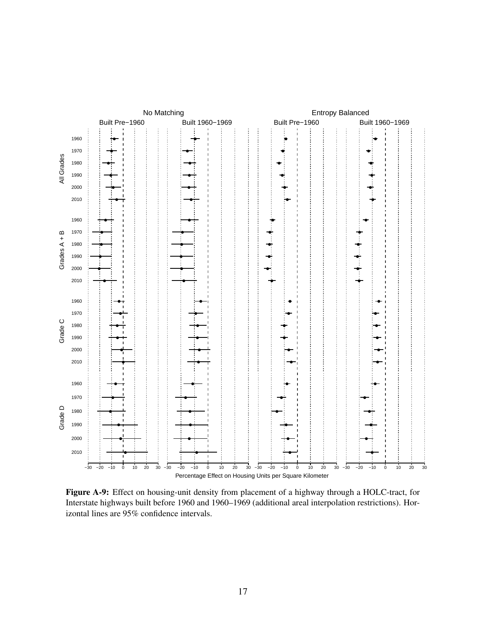<span id="page-55-0"></span>

Figure A-9: Effect on housing-unit density from placement of a highway through a HOLC-tract, for Interstate highways built before 1960 and 1960–1969 (additional areal interpolation restrictions). Horizontal lines are 95% confidence intervals.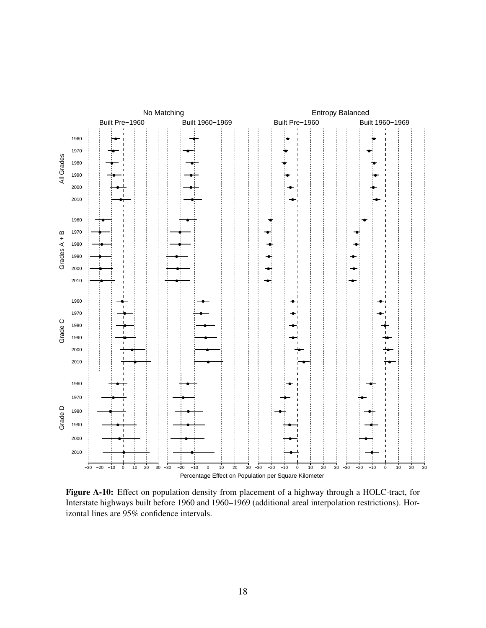<span id="page-56-0"></span>

Figure A-10: Effect on population density from placement of a highway through a HOLC-tract, for Interstate highways built before 1960 and 1960–1969 (additional areal interpolation restrictions). Horizontal lines are 95% confidence intervals.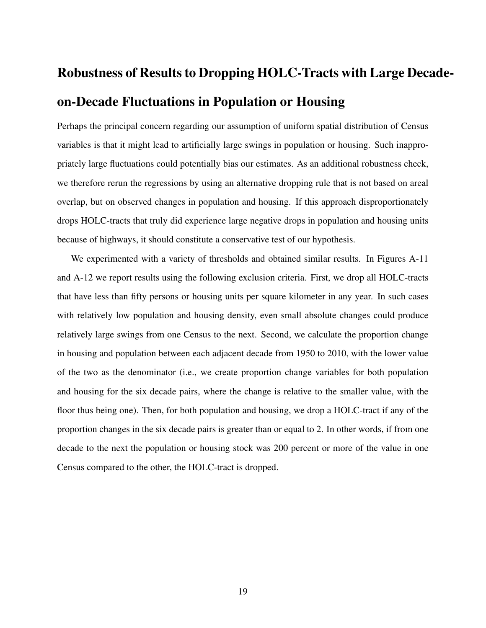# Robustness of Results to Dropping HOLC-Tracts with Large Decadeon-Decade Fluctuations in Population or Housing

Perhaps the principal concern regarding our assumption of uniform spatial distribution of Census variables is that it might lead to artificially large swings in population or housing. Such inappropriately large fluctuations could potentially bias our estimates. As an additional robustness check, we therefore rerun the regressions by using an alternative dropping rule that is not based on areal overlap, but on observed changes in population and housing. If this approach disproportionately drops HOLC-tracts that truly did experience large negative drops in population and housing units because of highways, it should constitute a conservative test of our hypothesis.

We experimented with a variety of thresholds and obtained similar results. In Figures [A-11](#page-58-0) and [A-12](#page-59-0) we report results using the following exclusion criteria. First, we drop all HOLC-tracts that have less than fifty persons or housing units per square kilometer in any year. In such cases with relatively low population and housing density, even small absolute changes could produce relatively large swings from one Census to the next. Second, we calculate the proportion change in housing and population between each adjacent decade from 1950 to 2010, with the lower value of the two as the denominator (i.e., we create proportion change variables for both population and housing for the six decade pairs, where the change is relative to the smaller value, with the floor thus being one). Then, for both population and housing, we drop a HOLC-tract if any of the proportion changes in the six decade pairs is greater than or equal to 2. In other words, if from one decade to the next the population or housing stock was 200 percent or more of the value in one Census compared to the other, the HOLC-tract is dropped.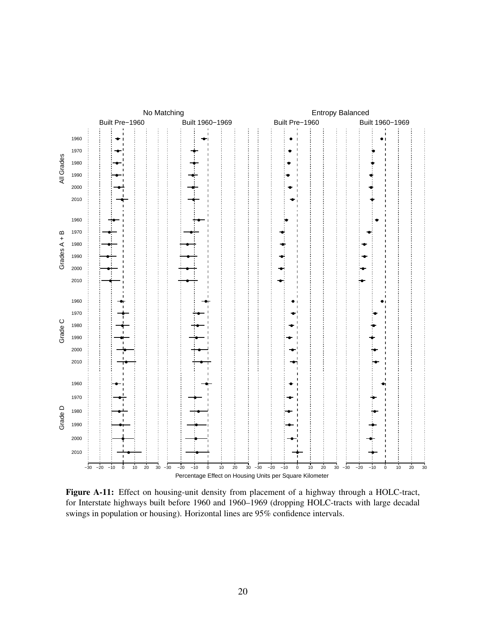<span id="page-58-0"></span>

Figure A-11: Effect on housing-unit density from placement of a highway through a HOLC-tract, for Interstate highways built before 1960 and 1960–1969 (dropping HOLC-tracts with large decadal swings in population or housing). Horizontal lines are 95% confidence intervals.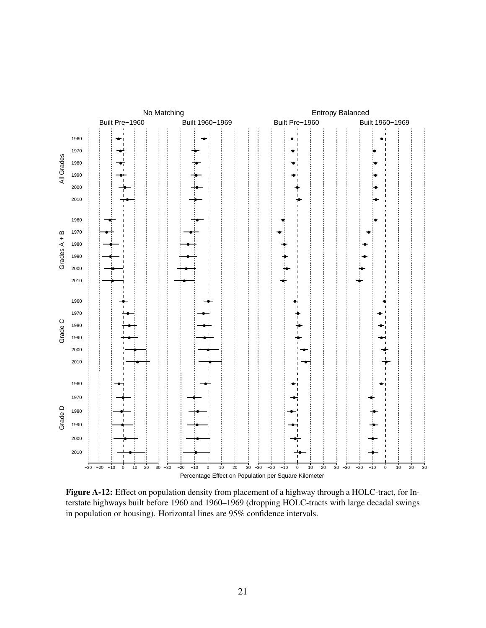<span id="page-59-0"></span>

Figure A-12: Effect on population density from placement of a highway through a HOLC-tract, for Interstate highways built before 1960 and 1960–1969 (dropping HOLC-tracts with large decadal swings in population or housing). Horizontal lines are 95% confidence intervals.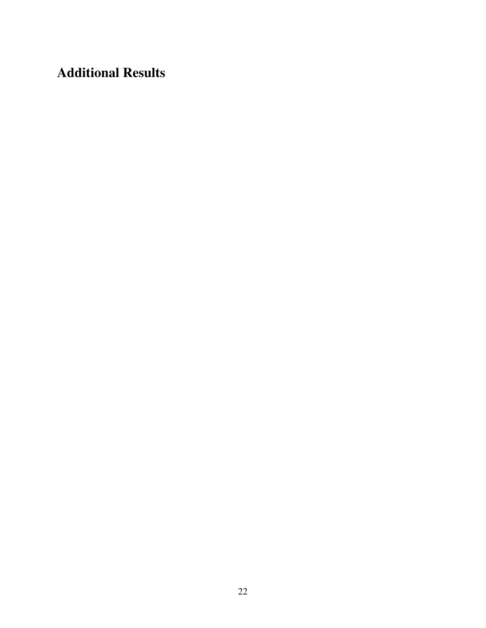Additional Results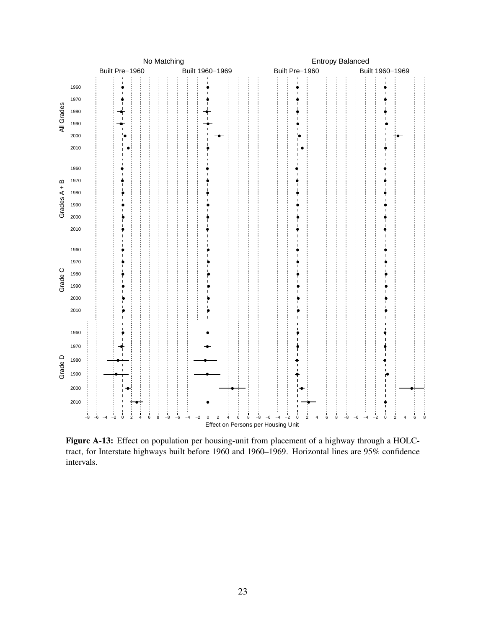<span id="page-61-0"></span>

Figure A-13: Effect on population per housing-unit from placement of a highway through a HOLCtract, for Interstate highways built before 1960 and 1960–1969. Horizontal lines are 95% confidence intervals.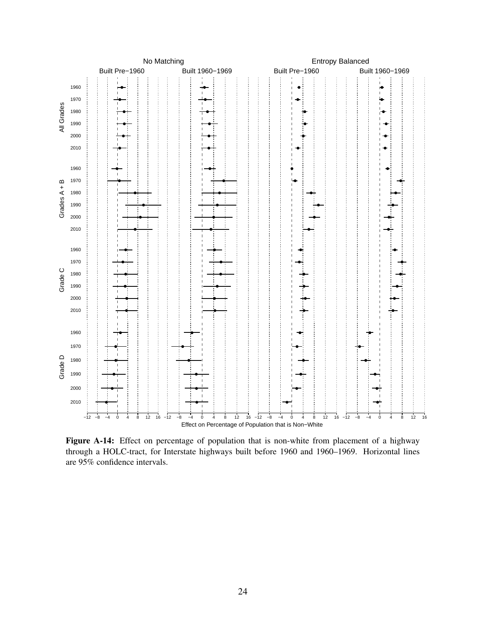

Figure A-14: Effect on percentage of population that is non-white from placement of a highway through a HOLC-tract, for Interstate highways built before 1960 and 1960–1969. Horizontal lines are 95% confidence intervals.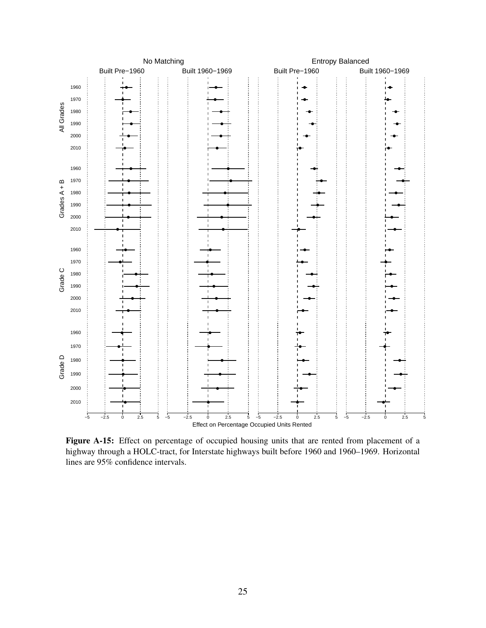

Figure A-15: Effect on percentage of occupied housing units that are rented from placement of a highway through a HOLC-tract, for Interstate highways built before 1960 and 1960–1969. Horizontal lines are 95% confidence intervals.